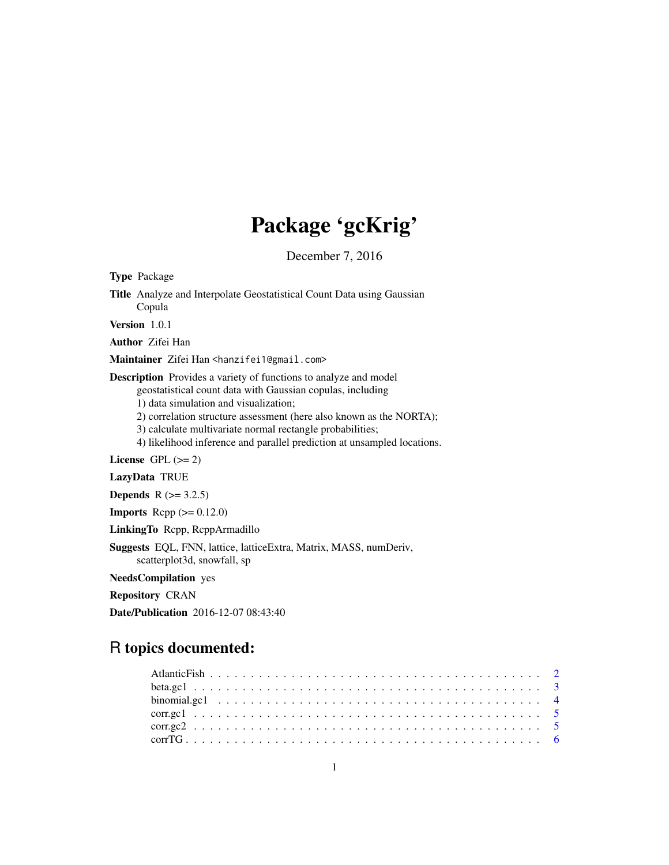# Package 'gcKrig'

December 7, 2016

<span id="page-0-0"></span>Type Package Title Analyze and Interpolate Geostatistical Count Data using Gaussian Copula Version 1.0.1 Author Zifei Han Maintainer Zifei Han <hanzifei1@gmail.com> Description Provides a variety of functions to analyze and model geostatistical count data with Gaussian copulas, including 1) data simulation and visualization; 2) correlation structure assessment (here also known as the NORTA); 3) calculate multivariate normal rectangle probabilities; 4) likelihood inference and parallel prediction at unsampled locations. License GPL  $(>= 2)$ LazyData TRUE **Depends**  $R$  ( $>= 3.2.5$ ) **Imports** Rcpp  $(>= 0.12.0)$ LinkingTo Rcpp, RcppArmadillo Suggests EQL, FNN, lattice, latticeExtra, Matrix, MASS, numDeriv, scatterplot3d, snowfall, sp NeedsCompilation yes Repository CRAN Date/Publication 2016-12-07 08:43:40

# R topics documented: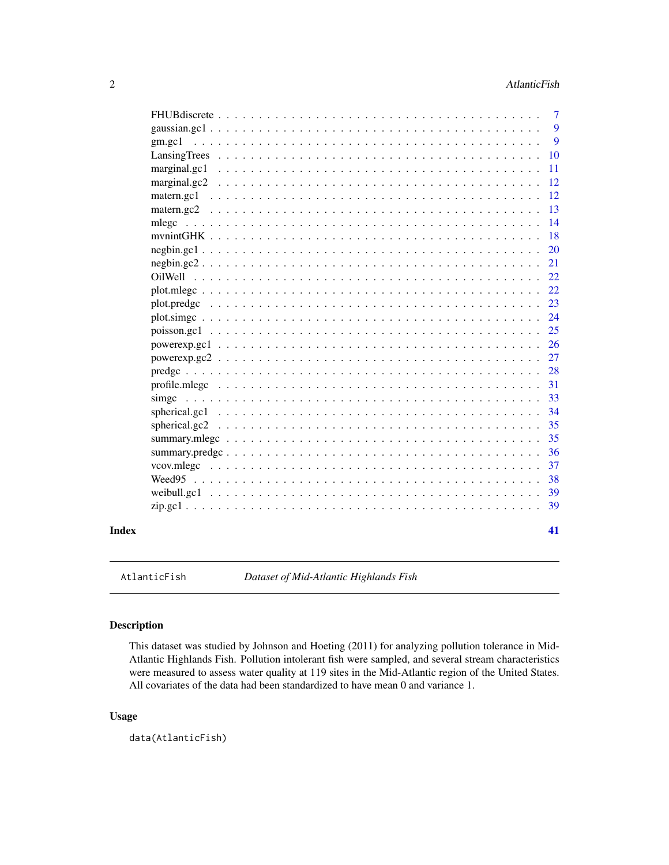<span id="page-1-0"></span>

|       |                                                 | -9            |
|-------|-------------------------------------------------|---------------|
|       |                                                 | <b>10</b>     |
|       | marginal.gc1                                    | <b>11</b>     |
|       | marginal.gc2                                    | <sup>12</sup> |
|       |                                                 | -12           |
|       |                                                 | <sup>13</sup> |
|       | mlegc                                           | 14            |
|       |                                                 | <b>18</b>     |
|       |                                                 |               |
|       |                                                 | 21            |
|       |                                                 | 22            |
|       |                                                 |               |
|       |                                                 | 23            |
|       |                                                 | 24            |
|       |                                                 | 25            |
|       |                                                 | <b>26</b>     |
|       |                                                 | 27            |
|       |                                                 | 28            |
|       |                                                 | 31            |
|       |                                                 | 33            |
|       |                                                 | 34            |
|       |                                                 | 35            |
|       |                                                 | 35            |
|       |                                                 | 36            |
|       | vcov.mlegc                                      | 37            |
|       |                                                 | 38            |
|       |                                                 | 39            |
|       | $zip.get1, , , , , , , , , , , , , , , , , , ,$ | 39            |
| Index |                                                 | 41            |

AtlanticFish *Dataset of Mid-Atlantic Highlands Fish*

# Description

This dataset was studied by Johnson and Hoeting (2011) for analyzing pollution tolerance in Mid-Atlantic Highlands Fish. Pollution intolerant fish were sampled, and several stream characteristics were measured to assess water quality at 119 sites in the Mid-Atlantic region of the United States. All covariates of the data had been standardized to have mean 0 and variance 1.

# Usage

data(AtlanticFish)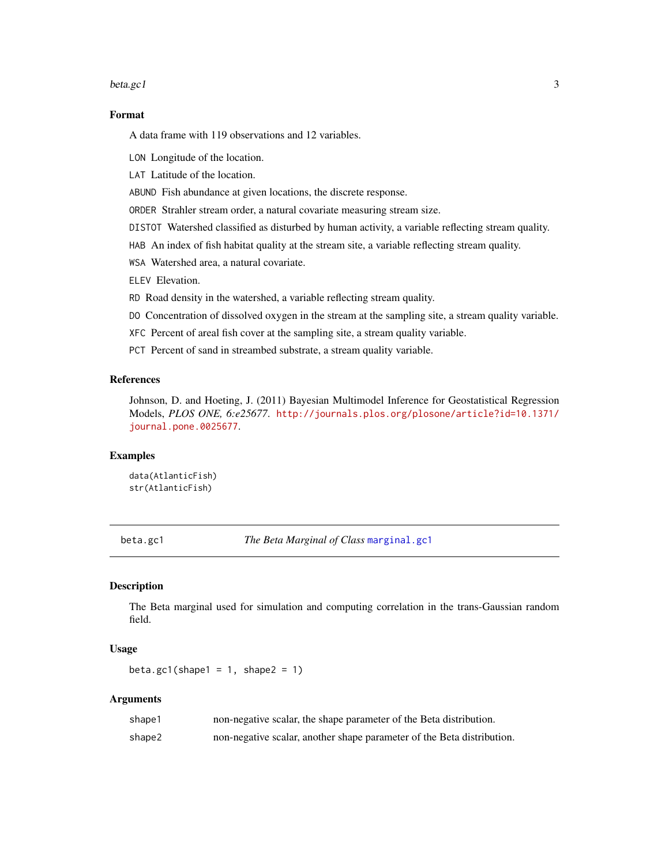#### <span id="page-2-0"></span>beta.gc1 3

# Format

A data frame with 119 observations and 12 variables.

LON Longitude of the location.

LAT Latitude of the location.

ABUND Fish abundance at given locations, the discrete response.

ORDER Strahler stream order, a natural covariate measuring stream size.

DISTOT Watershed classified as disturbed by human activity, a variable reflecting stream quality.

HAB An index of fish habitat quality at the stream site, a variable reflecting stream quality.

WSA Watershed area, a natural covariate.

ELEV Elevation.

RD Road density in the watershed, a variable reflecting stream quality.

DO Concentration of dissolved oxygen in the stream at the sampling site, a stream quality variable.

XFC Percent of areal fish cover at the sampling site, a stream quality variable.

PCT Percent of sand in streambed substrate, a stream quality variable.

# References

Johnson, D. and Hoeting, J. (2011) Bayesian Multimodel Inference for Geostatistical Regression Models, *PLOS ONE, 6:e25677*. [http://journals.plos.org/plosone/article?id=10.1371/](http://journals.plos.org/plosone/article?id=10.1371/journal.pone.0025677) [journal.pone.0025677](http://journals.plos.org/plosone/article?id=10.1371/journal.pone.0025677).

# Examples

data(AtlanticFish) str(AtlanticFish)

<span id="page-2-1"></span>beta.gc1 *The Beta Marginal of Class* [marginal.gc1](#page-10-1)

#### Description

The Beta marginal used for simulation and computing correlation in the trans-Gaussian random field.

# Usage

beta.gc1(shape1 =  $1$ , shape2 =  $1$ )

#### Arguments

| shape1 | non-negative scalar, the shape parameter of the Beta distribution.     |
|--------|------------------------------------------------------------------------|
| shape2 | non-negative scalar, another shape parameter of the Beta distribution. |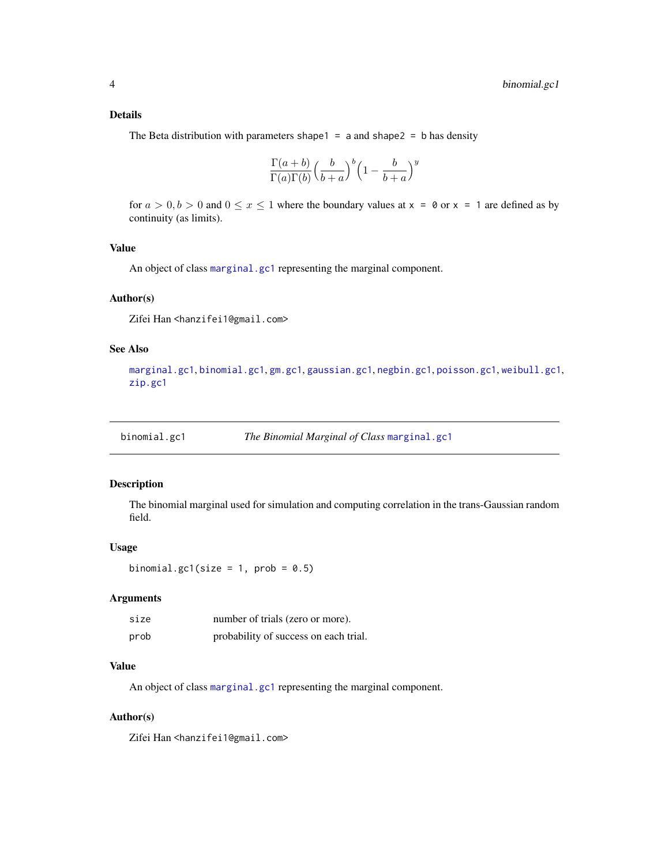# <span id="page-3-0"></span>Details

The Beta distribution with parameters shape1 =  $a$  and shape2 =  $b$  has density

$$
\frac{\Gamma(a+b)}{\Gamma(a)\Gamma(b)} \left(\frac{b}{b+a}\right)^b \left(1 - \frac{b}{b+a}\right)^y
$$

for  $a > 0, b > 0$  and  $0 \le x \le 1$  where the boundary values at  $x = 0$  or  $x = 1$  are defined as by continuity (as limits).

#### Value

An object of class [marginal.gc1](#page-10-1) representing the marginal component.

#### Author(s)

Zifei Han <hanzifei1@gmail.com>

# See Also

[marginal.gc1](#page-10-1), [binomial.gc1](#page-3-1), [gm.gc1](#page-8-1), [gaussian.gc1](#page-8-2), [negbin.gc1](#page-19-1), [poisson.gc1](#page-24-1), [weibull.gc1](#page-38-1), [zip.gc1](#page-38-2)

<span id="page-3-1"></span>

# Description

The binomial marginal used for simulation and computing correlation in the trans-Gaussian random field.

#### Usage

binomial.gc1(size = 1,  $prob = 0.5$ )

# Arguments

| size | number of trials (zero or more).      |
|------|---------------------------------------|
| prob | probability of success on each trial. |

# Value

An object of class [marginal.gc1](#page-10-1) representing the marginal component.

#### Author(s)

Zifei Han <hanzifei1@gmail.com>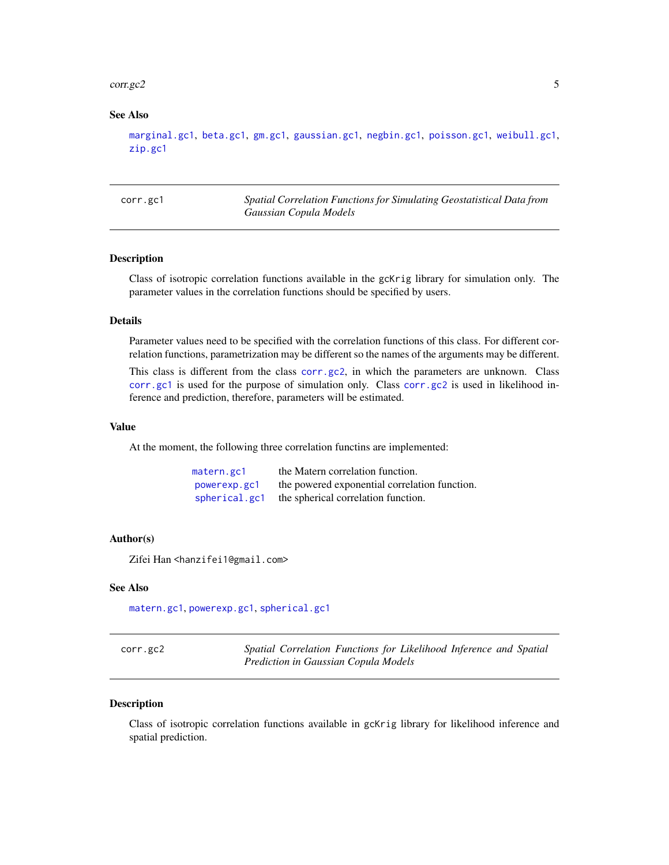#### <span id="page-4-0"></span>corr.gc2 5

# See Also

```
marginal.gc1, beta.gc1, gm.gc1, gaussian.gc1, negbin.gc1, poisson.gc1, weibull.gc1,
zip.gc1
```
<span id="page-4-2"></span>corr.gc1 *Spatial Correlation Functions for Simulating Geostatistical Data from Gaussian Copula Models*

# Description

Class of isotropic correlation functions available in the gcKrig library for simulation only. The parameter values in the correlation functions should be specified by users.

# Details

Parameter values need to be specified with the correlation functions of this class. For different correlation functions, parametrization may be different so the names of the arguments may be different.

This class is different from the class [corr.gc2](#page-4-1), in which the parameters are unknown. Class [corr.gc1](#page-4-2) is used for the purpose of simulation only. Class [corr.gc2](#page-4-1) is used in likelihood inference and prediction, therefore, parameters will be estimated.

# Value

At the moment, the following three correlation functins are implemented:

| matern.gc1    | the Matern correlation function.              |
|---------------|-----------------------------------------------|
| powerexp.gc1  | the powered exponential correlation function. |
| spherical.gc1 | the spherical correlation function.           |

#### Author(s)

Zifei Han <hanzifei1@gmail.com>

#### See Also

[matern.gc1](#page-11-1), [powerexp.gc1](#page-25-1), [spherical.gc1](#page-33-1)

<span id="page-4-1"></span>

| corr.get2 | Spatial Correlation Functions for Likelihood Inference and Spatial |  |  |  |
|-----------|--------------------------------------------------------------------|--|--|--|
|           | Prediction in Gaussian Copula Models                               |  |  |  |

#### Description

Class of isotropic correlation functions available in gcKrig library for likelihood inference and spatial prediction.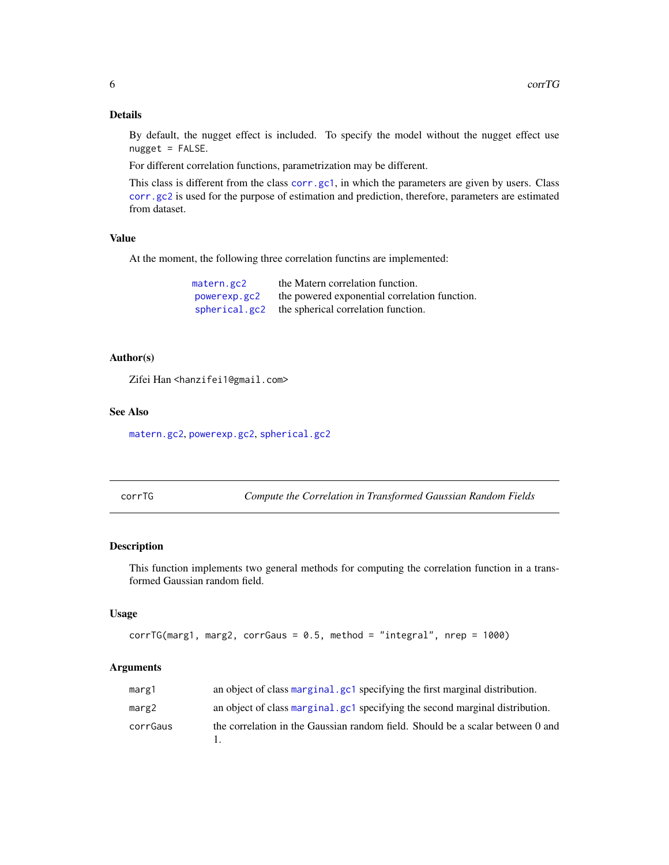# Details

By default, the nugget effect is included. To specify the model without the nugget effect use  $nugget = FALSE$ .

For different correlation functions, parametrization may be different.

This class is different from the class [corr.gc1](#page-4-2), in which the parameters are given by users. Class [corr.gc2](#page-4-1) is used for the purpose of estimation and prediction, therefore, parameters are estimated from dataset.

# Value

At the moment, the following three correlation functins are implemented:

| matern.gc2    | the Matern correlation function.              |
|---------------|-----------------------------------------------|
| powerexp.gc2  | the powered exponential correlation function. |
| spherical.gc2 | the spherical correlation function.           |

#### Author(s)

Zifei Han <hanzifei1@gmail.com>

#### See Also

[matern.gc2](#page-12-1), [powerexp.gc2](#page-26-1), [spherical.gc2](#page-34-1)

corrTG *Compute the Correlation in Transformed Gaussian Random Fields*

# Description

This function implements two general methods for computing the correlation function in a transformed Gaussian random field.

#### Usage

```
corrTG(marg1, marg2, corrGaus = 0.5, method = "integral", nrep = 1000)
```
# Arguments

| marg1    | an object of class marginal, gc1 specifying the first marginal distribution.   |
|----------|--------------------------------------------------------------------------------|
| marg2    | an object of class marginal, gc1 specifying the second marginal distribution.  |
| corrGaus | the correlation in the Gaussian random field. Should be a scalar between 0 and |

<span id="page-5-0"></span>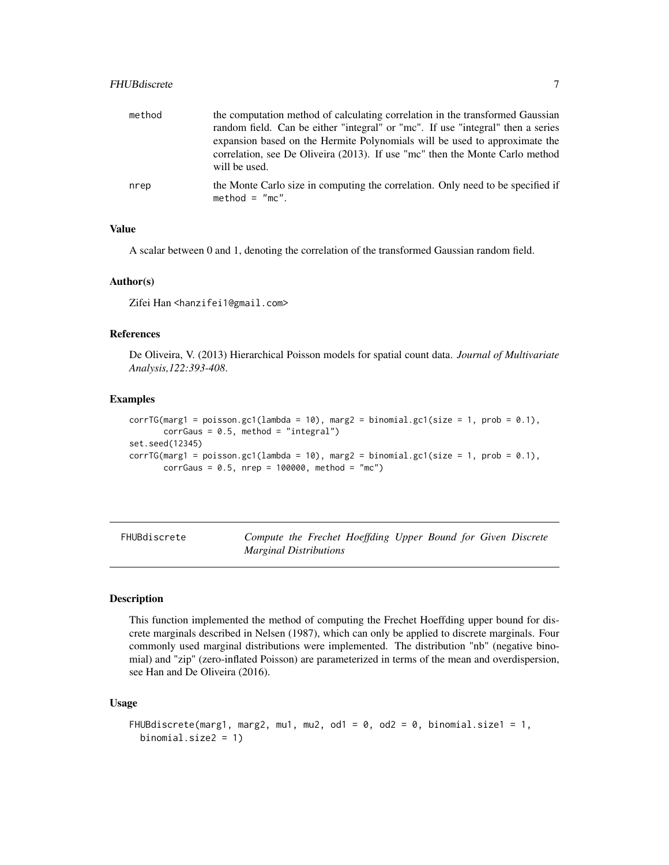# <span id="page-6-0"></span>FHUBdiscrete 7

| method | the computation method of calculating correlation in the transformed Gaussian<br>random field. Can be either "integral" or "mc". If use "integral" then a series<br>expansion based on the Hermite Polynomials will be used to approximate the<br>correlation, see De Oliveira (2013). If use "mc" then the Monte Carlo method |
|--------|--------------------------------------------------------------------------------------------------------------------------------------------------------------------------------------------------------------------------------------------------------------------------------------------------------------------------------|
| nrep   | will be used.<br>the Monte Carlo size in computing the correlation. Only need to be specified if<br>method = $\degree$ mc $\degree$ .                                                                                                                                                                                          |

# Value

A scalar between 0 and 1, denoting the correlation of the transformed Gaussian random field.

#### Author(s)

Zifei Han <hanzifei1@gmail.com>

#### References

De Oliveira, V. (2013) Hierarchical Poisson models for spatial count data. *Journal of Multivariate Analysis,122:393-408*.

#### Examples

```
corrTG(marg1 = poisson.get(lambda = 10), marg2 = binomial.get(size = 1, prob = 0.1),corrGaus = 0.5, method = "integral")
set.seed(12345)
corrTG(marg1 = poisson.get(lambda = 10), marg2 = binomial.get(size = 1, prob = 0.1),corrGaus = 0.5, nrep = 100000, method = "mc")
```
FHUBdiscrete *Compute the Frechet Hoeffding Upper Bound for Given Discrete Marginal Distributions*

#### Description

This function implemented the method of computing the Frechet Hoeffding upper bound for discrete marginals described in Nelsen (1987), which can only be applied to discrete marginals. Four commonly used marginal distributions were implemented. The distribution "nb" (negative binomial) and "zip" (zero-inflated Poisson) are parameterized in terms of the mean and overdispersion, see Han and De Oliveira (2016).

```
FHUBdiscrete(marg1, marg2, mu1, mu2, od1 = 0, od2 = 0, binomial.size1 = 1,
 binomial.size2 = 1)
```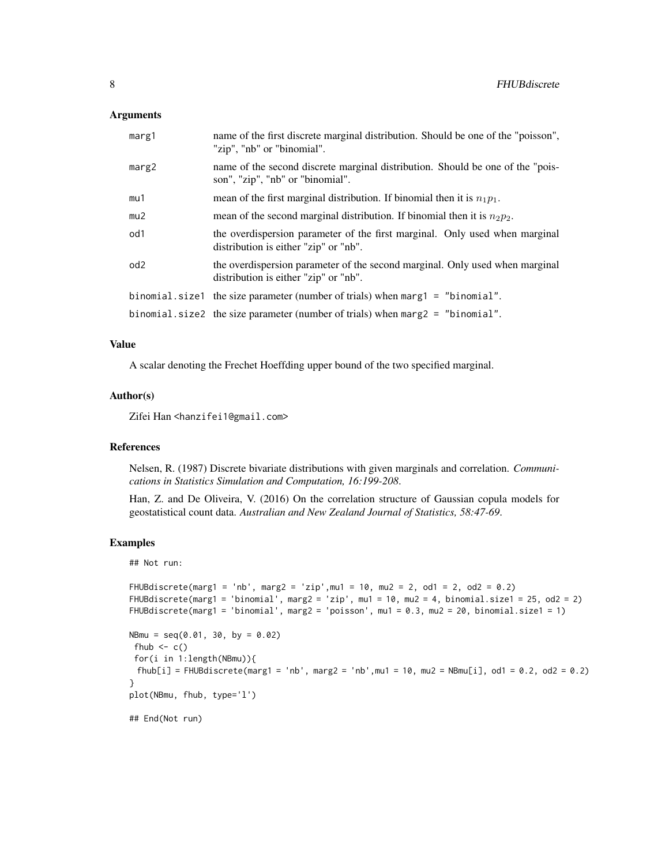#### Arguments

| marg1           | name of the first discrete marginal distribution. Should be one of the "poisson",<br>"zip", "nb" or "binomial".       |
|-----------------|-----------------------------------------------------------------------------------------------------------------------|
| marg2           | name of the second discrete marginal distribution. Should be one of the "pois-<br>son", "zip", "nb" or "binomial".    |
| mu1             | mean of the first marginal distribution. If binomial then it is $n_1p_1$ .                                            |
| mu2             | mean of the second marginal distribution. If binomial then it is $n_2p_2$ .                                           |
| od1             | the overdispersion parameter of the first marginal. Only used when marginal<br>distribution is either "zip" or "nb".  |
| od <sub>2</sub> | the overdispersion parameter of the second marginal. Only used when marginal<br>distribution is either "zip" or "nb". |
|                 | binomial.size1 the size parameter (number of trials) when marg1 = "binomial".                                         |
|                 | binomial. size 2 the size parameter (number of trials) when $marg 2 =$ "binomial".                                    |

# Value

A scalar denoting the Frechet Hoeffding upper bound of the two specified marginal.

# Author(s)

Zifei Han <hanzifei1@gmail.com>

#### References

Nelsen, R. (1987) Discrete bivariate distributions with given marginals and correlation. *Communications in Statistics Simulation and Computation, 16:199-208*.

Han, Z. and De Oliveira, V. (2016) On the correlation structure of Gaussian copula models for geostatistical count data. *Australian and New Zealand Journal of Statistics, 58:47-69*.

# Examples

## Not run:

```
FHUBdiscrete(marg1 = 'nb', marg2 = 'zip', mu1 = 10, mu2 = 2, od1 = 2, od2 = 0.2)
FHUBdiscrete(marg1 = 'binomial', marg2 = 'zip', mu1 = 10, mu2 = 4, binomial.size1 = 25, od2 = 2)
FHUBdiscrete(marg1 = 'binomial', marg2 = 'poisson', mu1 = 0.3, mu2 = 20, binomial.size1 = 1)
NBmu = seq(0.01, 30, by = 0.02)fhub \leftarrow c()
for(i in 1:length(NBmu)){
 fhub[i] = FHUBdiscrete(maxg1 = 'nb', marg2 = 'nb',mul = 10, mu2 = NBmu[i], old = 0.2, old = 0.2)}
plot(NBmu, fhub, type='l')
## End(Not run)
```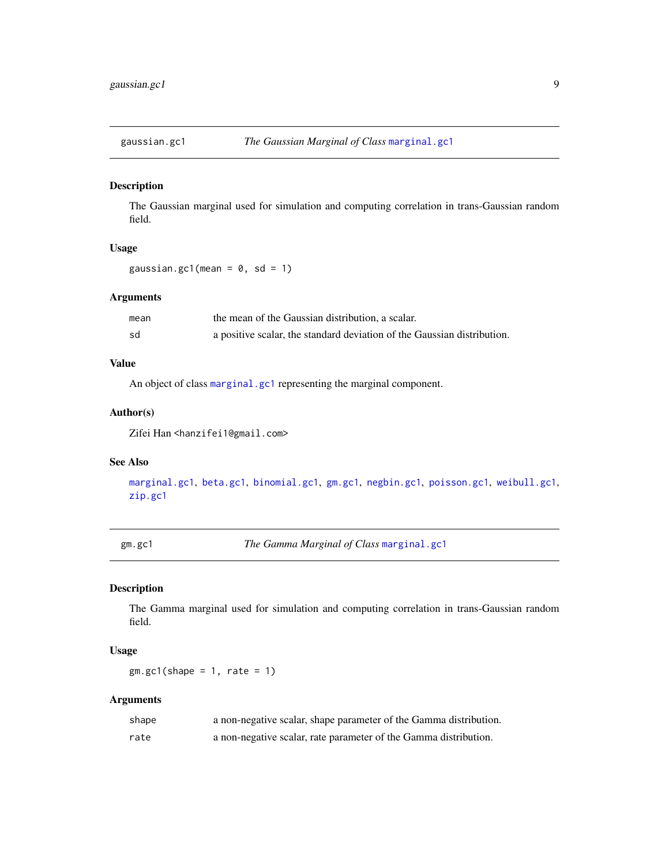<span id="page-8-2"></span><span id="page-8-0"></span>

# Description

The Gaussian marginal used for simulation and computing correlation in trans-Gaussian random field.

#### Usage

gaussian.gc1(mean =  $0$ , sd = 1)

# Arguments

| mean | the mean of the Gaussian distribution, a scalar.                        |
|------|-------------------------------------------------------------------------|
| sd   | a positive scalar, the standard deviation of the Gaussian distribution. |

# Value

An object of class [marginal.gc1](#page-10-1) representing the marginal component.

# Author(s)

Zifei Han <hanzifei1@gmail.com>

# See Also

[marginal.gc1](#page-10-1), [beta.gc1](#page-2-1), [binomial.gc1](#page-3-1), [gm.gc1](#page-8-1), [negbin.gc1](#page-19-1), [poisson.gc1](#page-24-1), [weibull.gc1](#page-38-1), [zip.gc1](#page-38-2)

<span id="page-8-1"></span>gm.gc1 *The Gamma Marginal of Class* [marginal.gc1](#page-10-1)

# Description

The Gamma marginal used for simulation and computing correlation in trans-Gaussian random field.

#### Usage

 $gm.gc1(shape = 1, rate = 1)$ 

# Arguments

| shape | a non-negative scalar, shape parameter of the Gamma distribution. |
|-------|-------------------------------------------------------------------|
| rate  | a non-negative scalar, rate parameter of the Gamma distribution.  |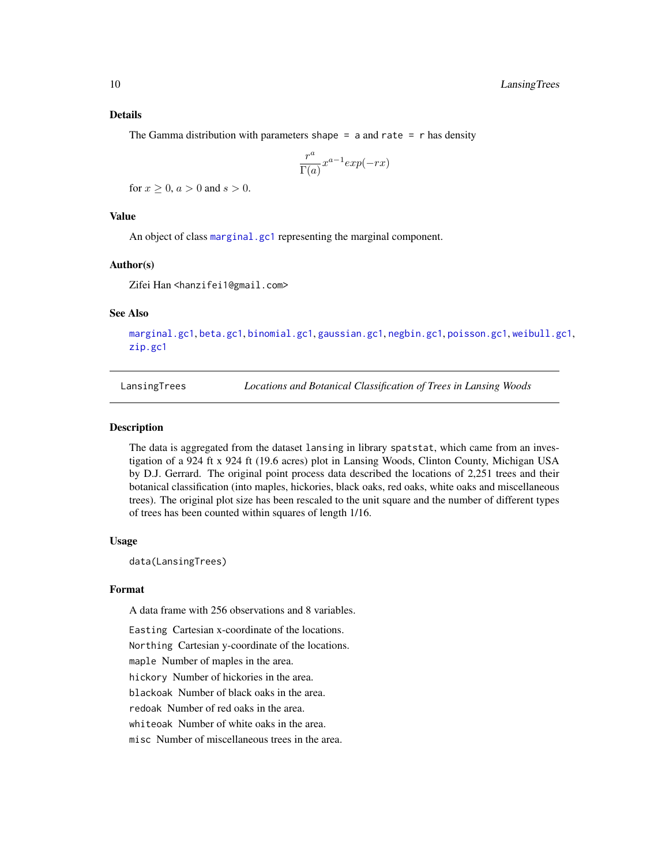# <span id="page-9-0"></span>Details

The Gamma distribution with parameters shape = a and rate =  $r$  has density

$$
\frac{r^a}{\Gamma(a)} x^{a-1} \exp(-rx)
$$

for  $x > 0$ ,  $a > 0$  and  $s > 0$ .

# Value

An object of class [marginal.gc1](#page-10-1) representing the marginal component.

# Author(s)

Zifei Han <hanzifei1@gmail.com>

# See Also

[marginal.gc1](#page-10-1), [beta.gc1](#page-2-1), [binomial.gc1](#page-3-1), [gaussian.gc1](#page-8-2), [negbin.gc1](#page-19-1), [poisson.gc1](#page-24-1), [weibull.gc1](#page-38-1), [zip.gc1](#page-38-2)

LansingTrees *Locations and Botanical Classification of Trees in Lansing Woods*

# **Description**

The data is aggregated from the dataset lansing in library spatstat, which came from an investigation of a 924 ft x 924 ft (19.6 acres) plot in Lansing Woods, Clinton County, Michigan USA by D.J. Gerrard. The original point process data described the locations of 2,251 trees and their botanical classification (into maples, hickories, black oaks, red oaks, white oaks and miscellaneous trees). The original plot size has been rescaled to the unit square and the number of different types of trees has been counted within squares of length 1/16.

# Usage

data(LansingTrees)

# Format

A data frame with 256 observations and 8 variables.

Easting Cartesian x-coordinate of the locations. Northing Cartesian y-coordinate of the locations. maple Number of maples in the area. hickory Number of hickories in the area. blackoak Number of black oaks in the area. redoak Number of red oaks in the area. whiteoak Number of white oaks in the area. misc Number of miscellaneous trees in the area.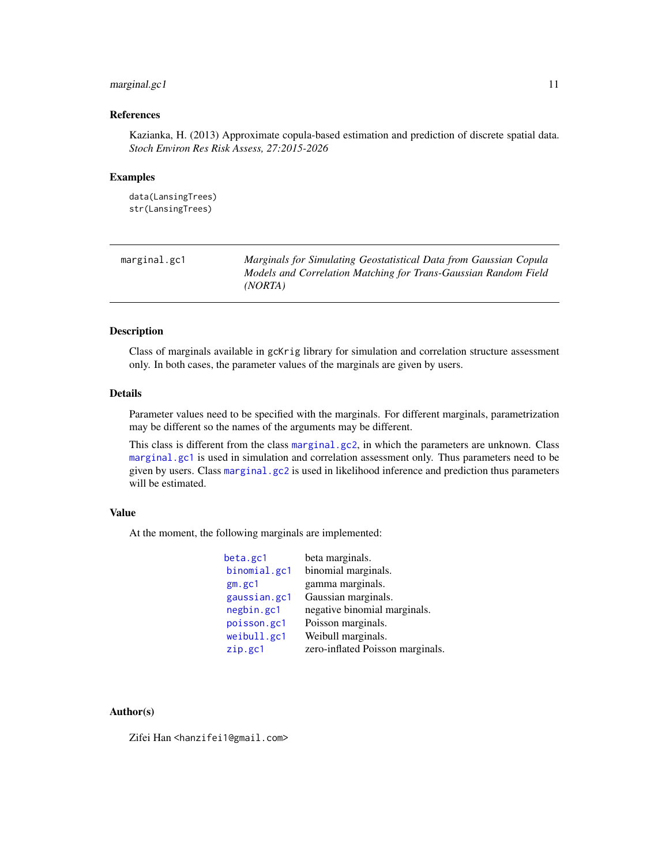# <span id="page-10-0"></span>marginal.gc1 11

# References

Kazianka, H. (2013) Approximate copula-based estimation and prediction of discrete spatial data. *Stoch Environ Res Risk Assess, 27:2015-2026*

#### Examples

```
data(LansingTrees)
str(LansingTrees)
```
<span id="page-10-1"></span>

| marginal.gc1 | Marginals for Simulating Geostatistical Data from Gaussian Copula |
|--------------|-------------------------------------------------------------------|
|              | Models and Correlation Matching for Trans-Gaussian Random Field   |
|              | (NORTA)                                                           |

# Description

Class of marginals available in gcKrig library for simulation and correlation structure assessment only. In both cases, the parameter values of the marginals are given by users.

# Details

Parameter values need to be specified with the marginals. For different marginals, parametrization may be different so the names of the arguments may be different.

This class is different from the class [marginal.gc2](#page-11-2), in which the parameters are unknown. Class [marginal.gc1](#page-10-1) is used in simulation and correlation assessment only. Thus parameters need to be given by users. Class [marginal.gc2](#page-11-2) is used in likelihood inference and prediction thus parameters will be estimated.

#### Value

At the moment, the following marginals are implemented:

| beta.gc1     | beta marginals.                  |
|--------------|----------------------------------|
| binomial.gc1 | binomial marginals.              |
| gm. gc1      | gamma marginals.                 |
| gaussian.gc1 | Gaussian marginals.              |
| negbin.gc1   | negative binomial marginals.     |
| poisson.gc1  | Poisson marginals.               |
| weibull.gc1  | Weibull marginals.               |
| zip.gc1      | zero-inflated Poisson marginals. |
|              |                                  |

#### Author(s)

Zifei Han <hanzifei1@gmail.com>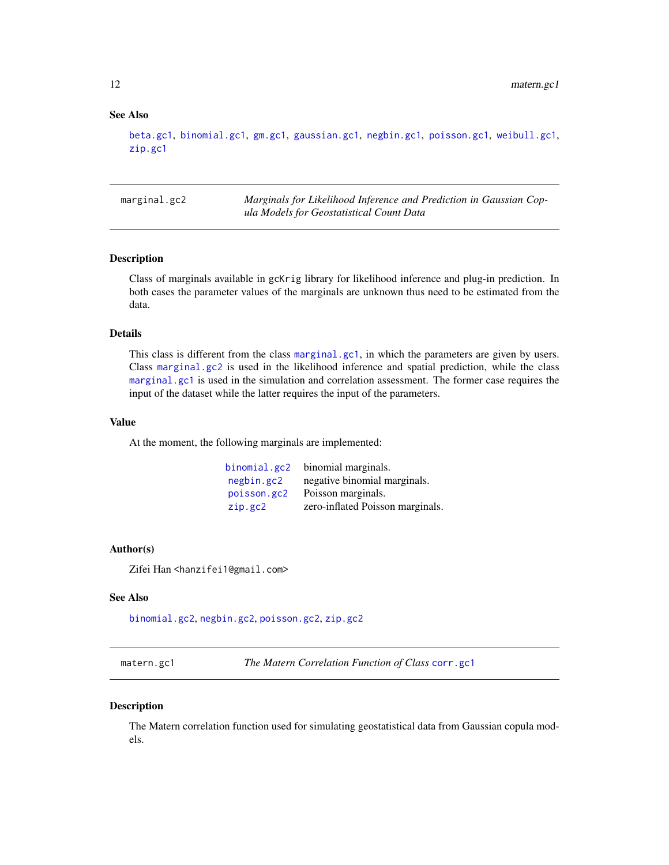# See Also

```
beta.gc1, binomial.gc1, gm.gc1, gaussian.gc1, negbin.gc1, poisson.gc1, weibull.gc1,
zip.gc1
```
<span id="page-11-2"></span>marginal.gc2 *Marginals for Likelihood Inference and Prediction in Gaussian Copula Models for Geostatistical Count Data*

# Description

Class of marginals available in gcKrig library for likelihood inference and plug-in prediction. In both cases the parameter values of the marginals are unknown thus need to be estimated from the data.

#### Details

This class is different from the class [marginal.gc1](#page-10-1), in which the parameters are given by users. Class [marginal.gc2](#page-11-2) is used in the likelihood inference and spatial prediction, while the class [marginal.gc1](#page-10-1) is used in the simulation and correlation assessment. The former case requires the input of the dataset while the latter requires the input of the parameters.

# Value

At the moment, the following marginals are implemented:

| binomial.gc2 | binomial marginals.              |
|--------------|----------------------------------|
| negbin.gc2   | negative binomial marginals.     |
| poisson.gc2  | Poisson marginals.               |
| zip.get2     | zero-inflated Poisson marginals. |

#### Author(s)

Zifei Han <hanzifei1@gmail.com>

# See Also

[binomial.gc2](#page-20-1), [negbin.gc2](#page-20-2), [poisson.gc2](#page-20-1), [zip.gc2](#page-20-1)

<span id="page-11-1"></span>matern.gc1 *The Matern Correlation Function of Class* [corr.gc1](#page-4-2)

#### Description

The Matern correlation function used for simulating geostatistical data from Gaussian copula models.

<span id="page-11-0"></span>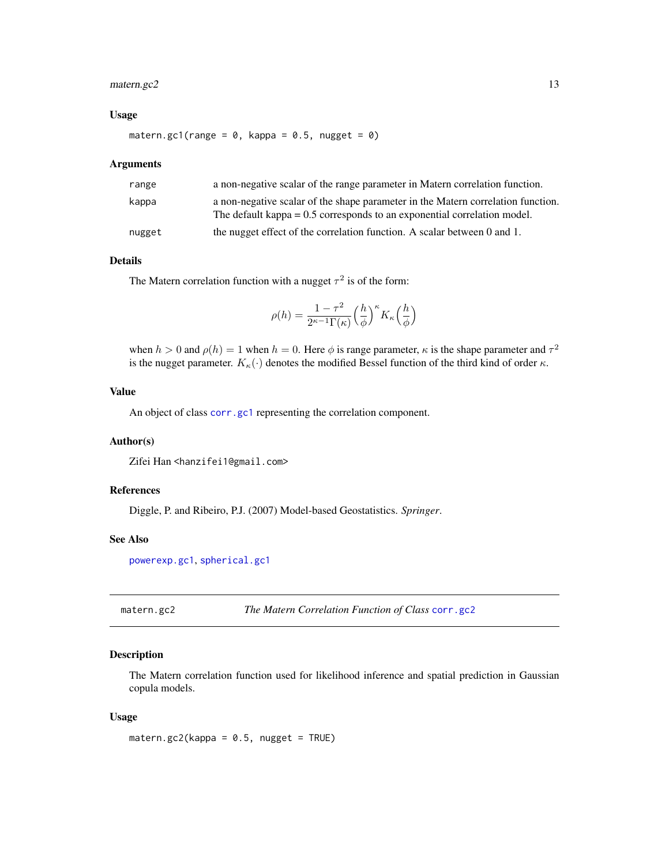# <span id="page-12-0"></span>matern.gc2 13

#### Usage

matern.gc1(range =  $0$ , kappa =  $0.5$ , nugget =  $0$ )

#### Arguments

| range  | a non-negative scalar of the range parameter in Matern correlation function.                                                                                   |
|--------|----------------------------------------------------------------------------------------------------------------------------------------------------------------|
| kappa  | a non-negative scalar of the shape parameter in the Matern correlation function.<br>The default kappa $= 0.5$ corresponds to an exponential correlation model. |
| nugget | the nugget effect of the correlation function. A scalar between $0$ and $1$ .                                                                                  |

# Details

The Matern correlation function with a nugget  $\tau^2$  is of the form:

$$
\rho(h) = \frac{1-\tau^2}{2^{\kappa-1}\Gamma(\kappa)} \Big(\frac{h}{\phi}\Big)^\kappa K_\kappa\Big(\frac{h}{\phi}\Big)
$$

when  $h > 0$  and  $\rho(h) = 1$  when  $h = 0$ . Here  $\phi$  is range parameter,  $\kappa$  is the shape parameter and  $\tau^2$ is the nugget parameter.  $K_{\kappa}(\cdot)$  denotes the modified Bessel function of the third kind of order  $\kappa$ .

# Value

An object of class [corr.gc1](#page-4-2) representing the correlation component.

#### Author(s)

Zifei Han <hanzifei1@gmail.com>

#### References

Diggle, P. and Ribeiro, P.J. (2007) Model-based Geostatistics. *Springer*.

# See Also

[powerexp.gc1](#page-25-1), [spherical.gc1](#page-33-1)

<span id="page-12-1"></span>matern.gc2 *The Matern Correlation Function of Class* [corr.gc2](#page-4-1)

# Description

The Matern correlation function used for likelihood inference and spatial prediction in Gaussian copula models.

#### Usage

matern.gc2(kappa =  $0.5$ , nugget = TRUE)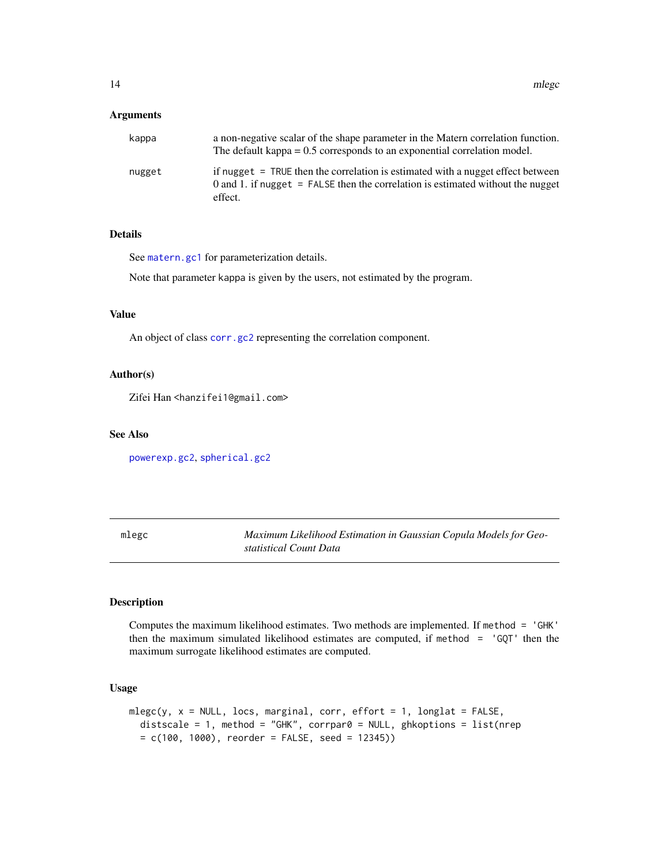#### <span id="page-13-0"></span>Arguments

| kappa  | a non-negative scalar of the shape parameter in the Matern correlation function.<br>The default kappa $= 0.5$ corresponds to an exponential correlation model.                  |
|--------|---------------------------------------------------------------------------------------------------------------------------------------------------------------------------------|
| nugget | if nugget = TRUE then the correlation is estimated with a nugget effect between<br>0 and 1. if nugget $=$ FALSE then the correlation is estimated without the nugget<br>effect. |

# Details

See [matern.gc1](#page-11-1) for parameterization details.

Note that parameter kappa is given by the users, not estimated by the program.

#### Value

An object of class [corr.gc2](#page-4-1) representing the correlation component.

#### Author(s)

Zifei Han <hanzifei1@gmail.com>

#### See Also

[powerexp.gc2](#page-26-1), [spherical.gc2](#page-34-1)

<span id="page-13-1"></span>mlegc *Maximum Likelihood Estimation in Gaussian Copula Models for Geostatistical Count Data*

#### Description

Computes the maximum likelihood estimates. Two methods are implemented. If method = 'GHK' then the maximum simulated likelihood estimates are computed, if method = 'GQT' then the maximum surrogate likelihood estimates are computed.

```
mlegc(y, x = NULL, locus, marginal, corr, effort = 1, longlat = FALSE,distscale = 1, method = "GHK", corrpar0 = NULL, ghkoptions = list(nrep
 = c(100, 1000), reorder = FALSE, seed = 12345))
```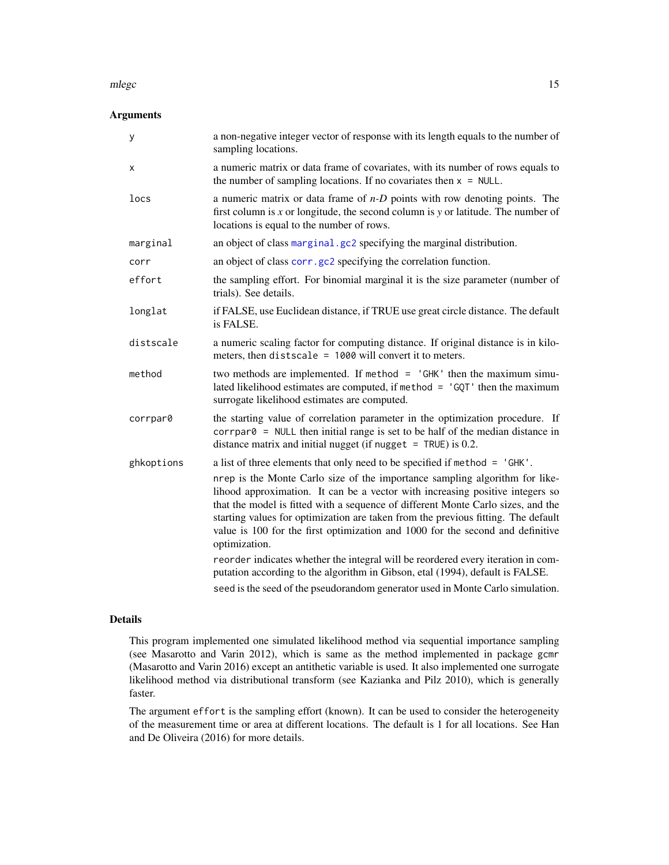#### <span id="page-14-0"></span>mlegc and the state of the state of the state of the state of the state of the state of the state of the state of the state of the state of the state of the state of the state of the state of the state of the state of the

# Arguments

| у          | a non-negative integer vector of response with its length equals to the number of<br>sampling locations.                                                                                                                                                                                                                                                                                                                                                                                                                                                                                                                                                                                                                                                                      |
|------------|-------------------------------------------------------------------------------------------------------------------------------------------------------------------------------------------------------------------------------------------------------------------------------------------------------------------------------------------------------------------------------------------------------------------------------------------------------------------------------------------------------------------------------------------------------------------------------------------------------------------------------------------------------------------------------------------------------------------------------------------------------------------------------|
| x          | a numeric matrix or data frame of covariates, with its number of rows equals to<br>the number of sampling locations. If no covariates then $x = NULL$ .                                                                                                                                                                                                                                                                                                                                                                                                                                                                                                                                                                                                                       |
| locs       | a numeric matrix or data frame of $n-D$ points with row denoting points. The<br>first column is $x$ or longitude, the second column is $y$ or latitude. The number of<br>locations is equal to the number of rows.                                                                                                                                                                                                                                                                                                                                                                                                                                                                                                                                                            |
| marginal   | an object of class marginal.gc2 specifying the marginal distribution.                                                                                                                                                                                                                                                                                                                                                                                                                                                                                                                                                                                                                                                                                                         |
| corr       | an object of class corr.gc2 specifying the correlation function.                                                                                                                                                                                                                                                                                                                                                                                                                                                                                                                                                                                                                                                                                                              |
| effort     | the sampling effort. For binomial marginal it is the size parameter (number of<br>trials). See details.                                                                                                                                                                                                                                                                                                                                                                                                                                                                                                                                                                                                                                                                       |
| longlat    | if FALSE, use Euclidean distance, if TRUE use great circle distance. The default<br>is FALSE.                                                                                                                                                                                                                                                                                                                                                                                                                                                                                                                                                                                                                                                                                 |
| distscale  | a numeric scaling factor for computing distance. If original distance is in kilo-<br>meters, then distscale = $1000$ will convert it to meters.                                                                                                                                                                                                                                                                                                                                                                                                                                                                                                                                                                                                                               |
| method     | two methods are implemented. If method $=$ 'GHK' then the maximum simu-<br>lated likelihood estimates are computed, if method $=$ 'GQT' then the maximum<br>surrogate likelihood estimates are computed.                                                                                                                                                                                                                                                                                                                                                                                                                                                                                                                                                                      |
| corrpar0   | the starting value of correlation parameter in the optimization procedure. If<br>$corrpar0$ = NULL then initial range is set to be half of the median distance in<br>distance matrix and initial nugget (if nugget $=$ TRUE) is 0.2.                                                                                                                                                                                                                                                                                                                                                                                                                                                                                                                                          |
| ghkoptions | a list of three elements that only need to be specified if method = 'GHK'.<br>nrep is the Monte Carlo size of the importance sampling algorithm for like-<br>lihood approximation. It can be a vector with increasing positive integers so<br>that the model is fitted with a sequence of different Monte Carlo sizes, and the<br>starting values for optimization are taken from the previous fitting. The default<br>value is 100 for the first optimization and 1000 for the second and definitive<br>optimization.<br>reorder indicates whether the integral will be reordered every iteration in com-<br>putation according to the algorithm in Gibson, etal (1994), default is FALSE.<br>seed is the seed of the pseudorandom generator used in Monte Carlo simulation. |
|            |                                                                                                                                                                                                                                                                                                                                                                                                                                                                                                                                                                                                                                                                                                                                                                               |

# Details

This program implemented one simulated likelihood method via sequential importance sampling (see Masarotto and Varin 2012), which is same as the method implemented in package gcmr (Masarotto and Varin 2016) except an antithetic variable is used. It also implemented one surrogate likelihood method via distributional transform (see Kazianka and Pilz 2010), which is generally faster.

The argument effort is the sampling effort (known). It can be used to consider the heterogeneity of the measurement time or area at different locations. The default is 1 for all locations. See Han and De Oliveira (2016) for more details.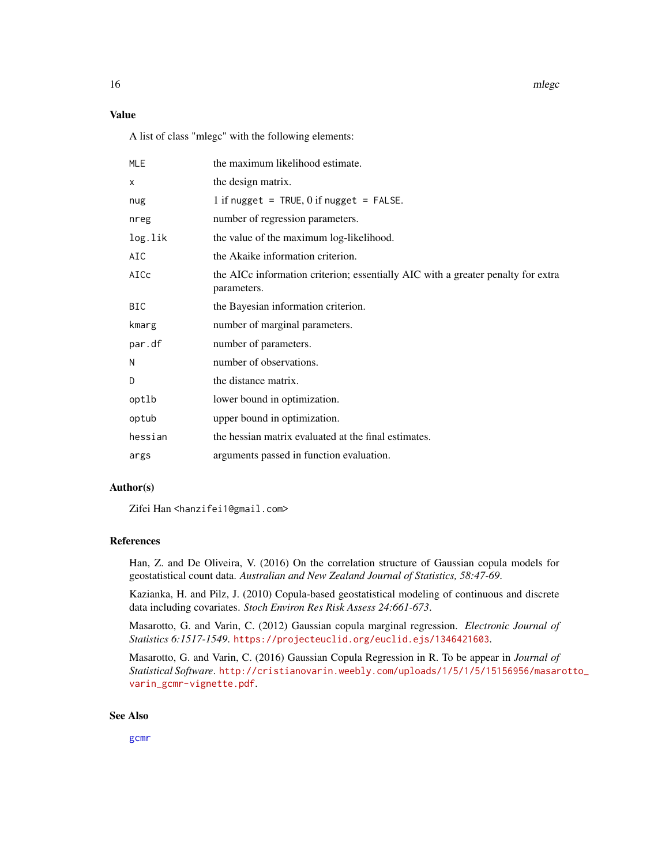<span id="page-15-0"></span>16 mlegc

# Value

A list of class "mlegc" with the following elements:

| <b>MLE</b> | the maximum likelihood estimate.                                                                |
|------------|-------------------------------------------------------------------------------------------------|
| X          | the design matrix.                                                                              |
| nug        | 1 if nugget = TRUE, $0$ if nugget = FALSE.                                                      |
| nreg       | number of regression parameters.                                                                |
| log.lik    | the value of the maximum log-likelihood.                                                        |
| AIC        | the Akaike information criterion.                                                               |
| AICc       | the AICc information criterion; essentially AIC with a greater penalty for extra<br>parameters. |
| <b>BIC</b> | the Bayesian information criterion.                                                             |
| kmarg      | number of marginal parameters.                                                                  |
| par.df     | number of parameters.                                                                           |
| N          | number of observations.                                                                         |
| D          | the distance matrix.                                                                            |
| optlb      | lower bound in optimization.                                                                    |
| optub      | upper bound in optimization.                                                                    |
| hessian    | the hessian matrix evaluated at the final estimates.                                            |
| args       | arguments passed in function evaluation.                                                        |

#### Author(s)

Zifei Han <hanzifei1@gmail.com>

# References

Han, Z. and De Oliveira, V. (2016) On the correlation structure of Gaussian copula models for geostatistical count data. *Australian and New Zealand Journal of Statistics, 58:47-69*.

Kazianka, H. and Pilz, J. (2010) Copula-based geostatistical modeling of continuous and discrete data including covariates. *Stoch Environ Res Risk Assess 24:661-673*.

Masarotto, G. and Varin, C. (2012) Gaussian copula marginal regression. *Electronic Journal of Statistics 6:1517-1549*. <https://projecteuclid.org/euclid.ejs/1346421603>.

Masarotto, G. and Varin, C. (2016) Gaussian Copula Regression in R. To be appear in *Journal of Statistical Software*. [http://cristianovarin.weebly.com/uploads/1/5/1/5/15156956/masar](http://cristianovarin.weebly.com/uploads/1/5/1/5/15156956/masarotto_varin_gcmr-vignette.pdf)otto\_ [varin\\_gcmr-vignette.pdf](http://cristianovarin.weebly.com/uploads/1/5/1/5/15156956/masarotto_varin_gcmr-vignette.pdf).

# See Also

[gcmr](#page-0-0)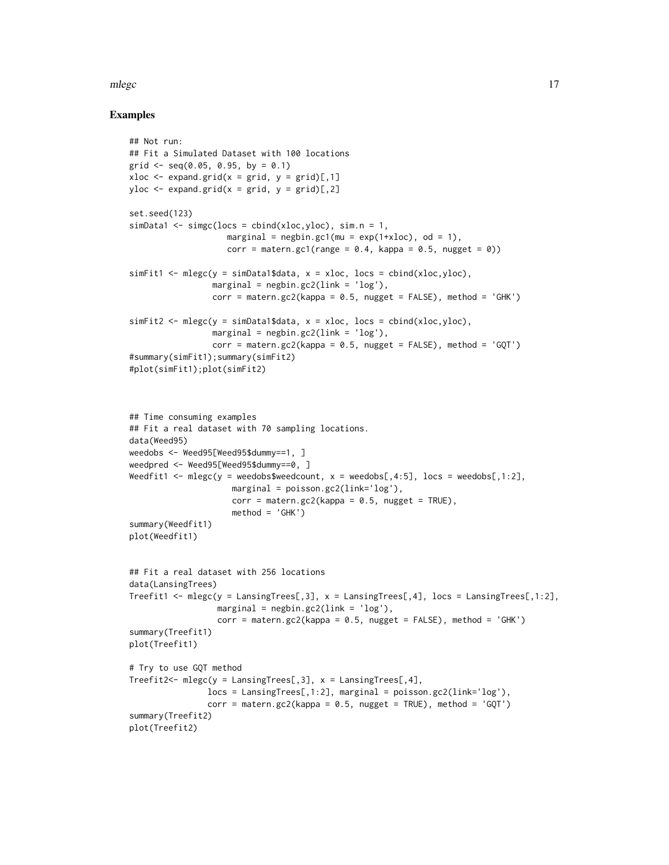#### mlegc and the contract of the contract of the contract of the contract of the contract of the contract of the contract of the contract of the contract of the contract of the contract of the contract of the contract of the

# Examples

```
## Not run:
## Fit a Simulated Dataset with 100 locations
grid \leq seq(0.05, 0.95, by = 0.1)
xloc \leq expand.grid(x = grid, y = grid)[,1]
yloc \leq expand.grid(x = grid, y = grid)[,2]
set.seed(123)
simData1 \leq -sim(Clock) = chind(xloc,yloc), sim.n = 1,marginal = negbin.gc1(mu = exp(1+xloc), od = 1),
                    corr = matern.gc1(range = 0.4, kappa = 0.5, nugget = 0))
simFit1 <- mlegc(y = simData1$data, x = xloc, locs = cbind(xloc,yloc),
                 marginal = negbin.gc2(link = 'log'),
                 corr = matern.gc2(kappa = 0.5, nugget = FALSE), method = 'GHK')
simFit2 \leq mlegc(y = simData1$data, x = xloc, loc = chind(xloc,yloc),marginal = negbin.gc2(link = 'log'),
                 corr = mattern.gc2(kappa = 0.5, nugget = FALSE), method = 'GQT')#summary(simFit1);summary(simFit2)
#plot(simFit1);plot(simFit2)
## Time consuming examples
## Fit a real dataset with 70 sampling locations.
data(Weed95)
weedobs <- Weed95[Weed95$dummy==1, ]
weedpred <- Weed95[Weed95$dummy==0, ]
Weedfit1 <- mlegc(y = weedobs$weedcount, x = weedobs[,4:5], locs = weedobs[,1:2],
                     marginal = poisson.gc2(link='log'),
                     corr = matern.gc2(kappa = 0.5, nugget = TRUE),method = 'GHK')summary(Weedfit1)
plot(Weedfit1)
## Fit a real dataset with 256 locations
data(LansingTrees)
Treefit1 <- mlegc(y = LansingTrees[,3], x = LansingTrees[,4], locs = LansingTrees[,1:2],
                  marginal = negbin.gc2(link = 'log'),corr = \text{matern.gc2(kappa = 0.5, nugget = FALSE), method = 'GHK')summary(Treefit1)
plot(Treefit1)
# Try to use GQT method
Treefit2<- mlegc(y = LansingTrees[,3], x = LansingTrees[,4],
                locs = LansingTrees[,1:2], marginal = poisson.gc2(link='log'),
                corr = \text{matern.gc2}(kappa = 0.5, nugget = TRUE), method = 'GQT')
summary(Treefit2)
plot(Treefit2)
```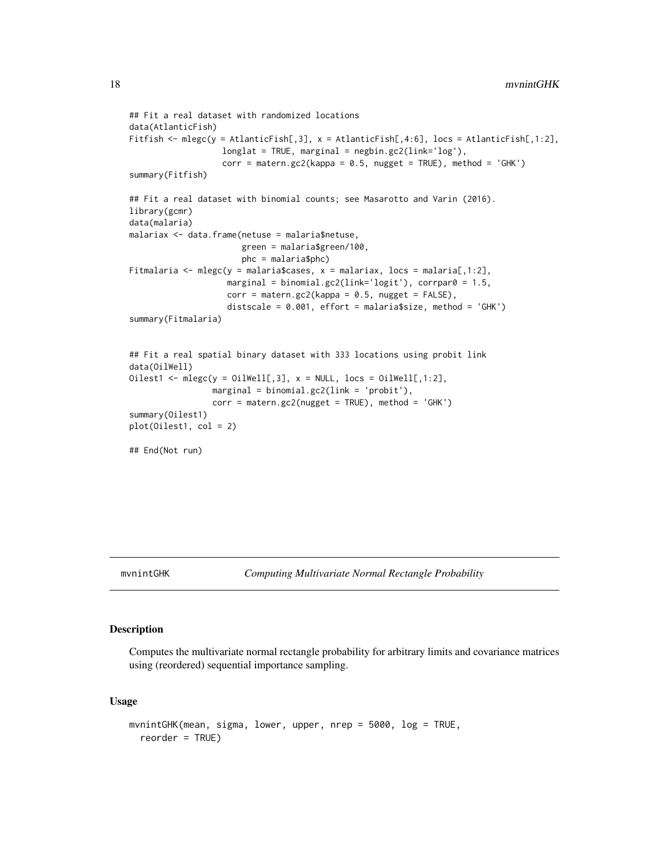```
## Fit a real dataset with randomized locations
data(AtlanticFish)
Fitfish <- mlegc(y = AtlanticFish[,3], x = AtlanticFish[,4:6], locs = AtlanticFish[,1:2],
                   longlat = TRUE, marginal = negbin.gc2(line='log'),corr = matern.gc2(kappa = 0.5, nugget = TRUE), method = 'GHK')
summary(Fitfish)
## Fit a real dataset with binomial counts; see Masarotto and Varin (2016).
library(gcmr)
data(malaria)
malariax <- data.frame(netuse = malaria$netuse,
                       green = malaria$green/100,
                       phc = malaria$phc)
Fitmalaria <- mlegc(y = malaria$cases, x = malariax, locs = malaria[,1:2],
                    marginal = binomial.gc2(link='logit'), corrpar0 = 1.5,
                    corr = matern.gc2(kappa = 0.5, nugget = FALSE),distscale = 0.001, effort = malaria$size, method = 'GHK')
summary(Fitmalaria)
## Fit a real spatial binary dataset with 333 locations using probit link
data(OilWell)
Oilest1 <- mlegc(y = OilWell[,3], x = NULL, locs = OilWell[,1:2],
                 marginal = binomial.gc2(link = 'probit'),
                 corr = matern.gc2(nugget = TRUE), method = 'GHK')
summary(Oilest1)
plot(Oilest1, col = 2)
## End(Not run)
```
# Description

Computes the multivariate normal rectangle probability for arbitrary limits and covariance matrices using (reordered) sequential importance sampling.

```
mvnintGHK(mean, sigma, lower, upper, nrep = 5000, log = TRUE,
  reorder = TRUE)
```
<span id="page-17-0"></span>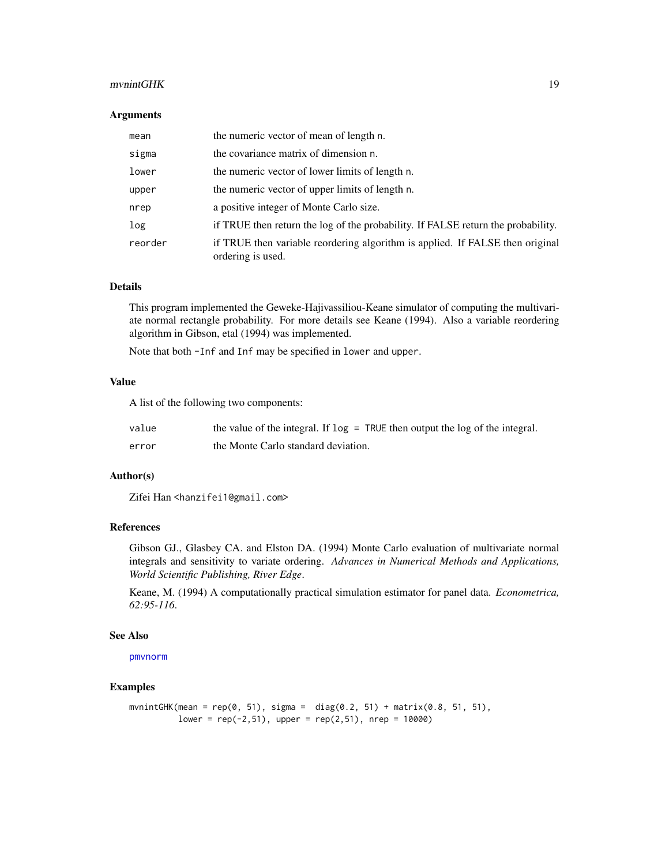#### <span id="page-18-0"></span>mvnintGHK 19

#### **Arguments**

| mean    | the numeric vector of mean of length n.                                                            |
|---------|----------------------------------------------------------------------------------------------------|
| sigma   | the covariance matrix of dimension n.                                                              |
| lower   | the numeric vector of lower limits of length n.                                                    |
| upper   | the numeric vector of upper limits of length n.                                                    |
| nrep    | a positive integer of Monte Carlo size.                                                            |
| log     | if TRUE then return the log of the probability. If FALSE return the probability.                   |
| reorder | if TRUE then variable reordering algorithm is applied. If FALSE then original<br>ordering is used. |

# Details

This program implemented the Geweke-Hajivassiliou-Keane simulator of computing the multivariate normal rectangle probability. For more details see Keane (1994). Also a variable reordering algorithm in Gibson, etal (1994) was implemented.

Note that both -Inf and Inf may be specified in lower and upper.

# Value

A list of the following two components:

| value | the value of the integral. If $log = TRUE$ then output the $log of$ the integral. |
|-------|-----------------------------------------------------------------------------------|
| error | the Monte Carlo standard deviation.                                               |

#### Author(s)

Zifei Han <hanzifei1@gmail.com>

# References

Gibson GJ., Glasbey CA. and Elston DA. (1994) Monte Carlo evaluation of multivariate normal integrals and sensitivity to variate ordering. *Advances in Numerical Methods and Applications, World Scientific Publishing, River Edge*.

Keane, M. (1994) A computationally practical simulation estimator for panel data. *Econometrica, 62:95-116*.

#### See Also

[pmvnorm](#page-0-0)

# Examples

```
mvnintGHK(mean = rep(0, 51), sigma = diag(0.2, 51) + matrix(0.8, 51, 51),
         lower = rep(-2,51), upper = rep(2,51), nrep = 10000)
```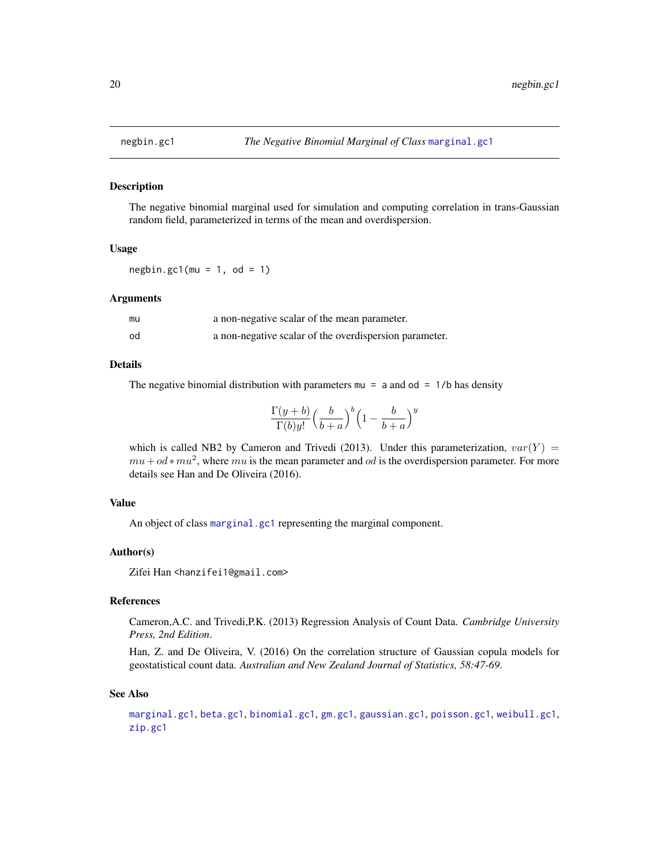<span id="page-19-1"></span><span id="page-19-0"></span>

#### Description

The negative binomial marginal used for simulation and computing correlation in trans-Gaussian random field, parameterized in terms of the mean and overdispersion.

#### Usage

 $negbin.get1(mu = 1, od = 1)$ 

#### **Arguments**

| mu | a non-negative scalar of the mean parameter.           |
|----|--------------------------------------------------------|
| od | a non-negative scalar of the overdispersion parameter. |

## Details

The negative binomial distribution with parameters  $mu = a$  and  $od = 1/b$  has density

$$
\frac{\Gamma(y+b)}{\Gamma(b)y!} \left(\frac{b}{b+a}\right)^b \left(1 - \frac{b}{b+a}\right)^y
$$

which is called NB2 by Cameron and Trivedi (2013). Under this parameterization,  $var(Y)$  =  $mu + od * mu<sup>2</sup>$ , where  $mu$  is the mean parameter and od is the overdispersion parameter. For more details see Han and De Oliveira (2016).

#### Value

An object of class [marginal.gc1](#page-10-1) representing the marginal component.

# Author(s)

Zifei Han <hanzifei1@gmail.com>

# References

Cameron,A.C. and Trivedi,P.K. (2013) Regression Analysis of Count Data. *Cambridge University Press, 2nd Edition*.

Han, Z. and De Oliveira, V. (2016) On the correlation structure of Gaussian copula models for geostatistical count data. *Australian and New Zealand Journal of Statistics, 58:47-69*.

#### See Also

[marginal.gc1](#page-10-1), [beta.gc1](#page-2-1), [binomial.gc1](#page-3-1), [gm.gc1](#page-8-1), [gaussian.gc1](#page-8-2), [poisson.gc1](#page-24-1), [weibull.gc1](#page-38-1), [zip.gc1](#page-38-2)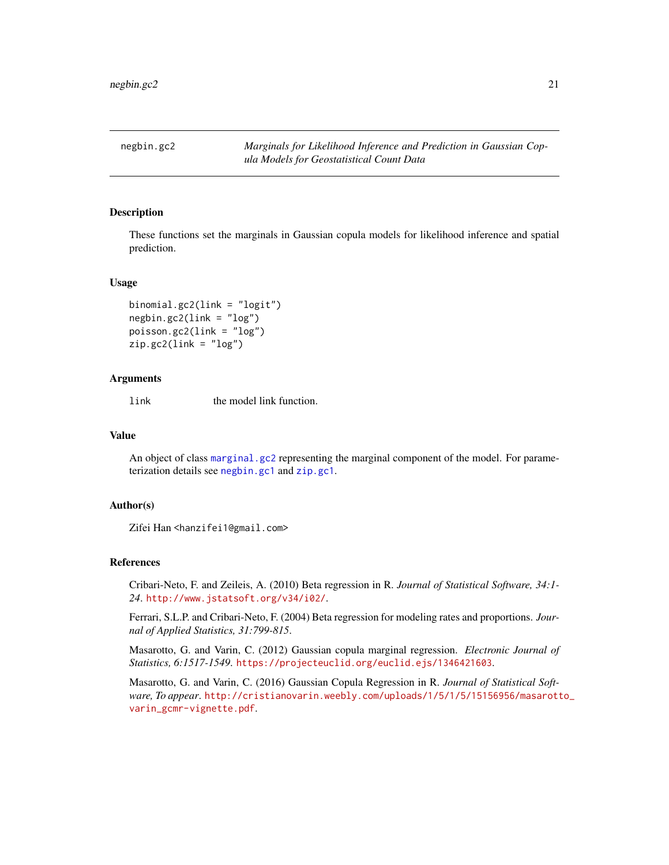<span id="page-20-2"></span><span id="page-20-0"></span>negbin.gc2 *Marginals for Likelihood Inference and Prediction in Gaussian Copula Models for Geostatistical Count Data*

#### <span id="page-20-1"></span>Description

These functions set the marginals in Gaussian copula models for likelihood inference and spatial prediction.

#### Usage

```
binomial.gc2(link = "logit")
negbin.gc2(link = "log")
poisson.gc2(link = "log")
zip.gc2(link = "log")
```
# Arguments

link the model link function.

#### Value

An object of class marginal, gc2 representing the marginal component of the model. For parameterization details see [negbin.gc1](#page-19-1) and [zip.gc1](#page-38-2).

### Author(s)

Zifei Han <hanzifei1@gmail.com>

#### References

Cribari-Neto, F. and Zeileis, A. (2010) Beta regression in R. *Journal of Statistical Software, 34:1- 24*. <http://www.jstatsoft.org/v34/i02/>.

Ferrari, S.L.P. and Cribari-Neto, F. (2004) Beta regression for modeling rates and proportions. *Journal of Applied Statistics, 31:799-815*.

Masarotto, G. and Varin, C. (2012) Gaussian copula marginal regression. *Electronic Journal of Statistics, 6:1517-1549*. <https://projecteuclid.org/euclid.ejs/1346421603>.

Masarotto, G. and Varin, C. (2016) Gaussian Copula Regression in R. *Journal of Statistical Software, To appear*. [http://cristianovarin.weebly.com/uploads/1/5/1/5/15156956/masarott](http://cristianovarin.weebly.com/uploads/1/5/1/5/15156956/masarotto_varin_gcmr-vignette.pdf)o\_ [varin\\_gcmr-vignette.pdf](http://cristianovarin.weebly.com/uploads/1/5/1/5/15156956/masarotto_varin_gcmr-vignette.pdf).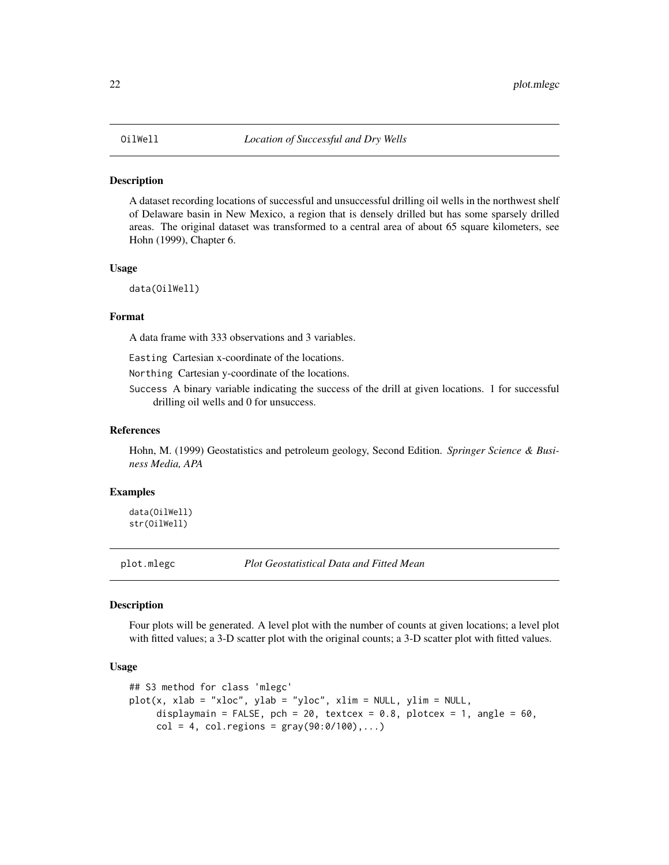#### <span id="page-21-0"></span>Description

A dataset recording locations of successful and unsuccessful drilling oil wells in the northwest shelf of Delaware basin in New Mexico, a region that is densely drilled but has some sparsely drilled areas. The original dataset was transformed to a central area of about 65 square kilometers, see Hohn (1999), Chapter 6.

#### Usage

data(OilWell)

### Format

A data frame with 333 observations and 3 variables.

Easting Cartesian x-coordinate of the locations.

Northing Cartesian y-coordinate of the locations.

Success A binary variable indicating the success of the drill at given locations. 1 for successful drilling oil wells and 0 for unsuccess.

# References

Hohn, M. (1999) Geostatistics and petroleum geology, Second Edition. *Springer Science & Business Media, APA*

# Examples

data(OilWell) str(OilWell)

<span id="page-21-1"></span>plot.mlegc *Plot Geostatistical Data and Fitted Mean*

# Description

Four plots will be generated. A level plot with the number of counts at given locations; a level plot with fitted values; a 3-D scatter plot with the original counts; a 3-D scatter plot with fitted values.

```
## S3 method for class 'mlegc'
plot(x, xlab = "xloc", ylab = "yloc", xlim = NULL, ylim = NULL,displaymain = FALSE, pch = 20, textcex = 0.8, plotcex = 1, angle = 60,
     col = 4, col. regions = gray(90:0/100),...)
```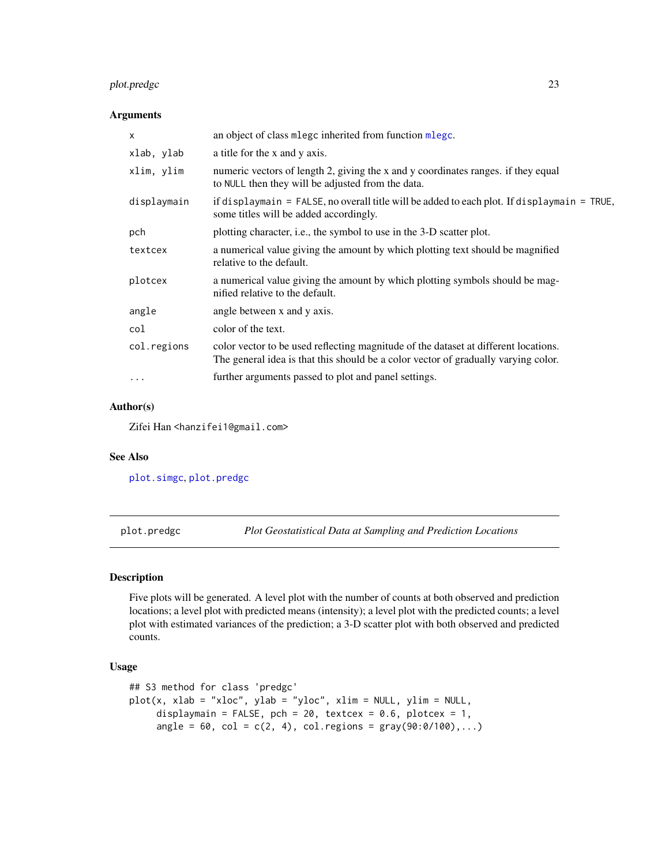# <span id="page-22-0"></span>plot.predgc 23

# Arguments

| $\times$    | an object of class mlegc inherited from function mlegc.                                                                                                                   |
|-------------|---------------------------------------------------------------------------------------------------------------------------------------------------------------------------|
| xlab, ylab  | a title for the x and y axis.                                                                                                                                             |
| xlim, ylim  | numeric vectors of length 2, giving the x and y coordinates ranges. if they equal<br>to NULL then they will be adjusted from the data.                                    |
| displaymain | if displaymain = FALSE, no overall title will be added to each plot. If displaymain = TRUE,<br>some titles will be added accordingly.                                     |
| pch         | plotting character, i.e., the symbol to use in the 3-D scatter plot.                                                                                                      |
| textcex     | a numerical value giving the amount by which plotting text should be magnified<br>relative to the default.                                                                |
| plotcex     | a numerical value giving the amount by which plotting symbols should be mag-<br>nified relative to the default.                                                           |
| angle       | angle between x and y axis.                                                                                                                                               |
| col         | color of the text.                                                                                                                                                        |
| col.regions | color vector to be used reflecting magnitude of the dataset at different locations.<br>The general idea is that this should be a color vector of gradually varying color. |
| $\cdots$    | further arguments passed to plot and panel settings.                                                                                                                      |

# Author(s)

Zifei Han <hanzifei1@gmail.com>

# See Also

[plot.simgc](#page-23-1), [plot.predgc](#page-22-1)

<span id="page-22-1"></span>plot.predgc *Plot Geostatistical Data at Sampling and Prediction Locations*

# Description

Five plots will be generated. A level plot with the number of counts at both observed and prediction locations; a level plot with predicted means (intensity); a level plot with the predicted counts; a level plot with estimated variances of the prediction; a 3-D scatter plot with both observed and predicted counts.

```
## S3 method for class 'predgc'
plot(x, xlab = "xloc", ylab = "yloc", xlim = NULL, ylim = NULL,displaymain = FALSE, pch = 20, textcex = 0.6, plotcex = 1,
     angle = 60, col = c(2, 4), col.regions = gray(90:0/100),...)
```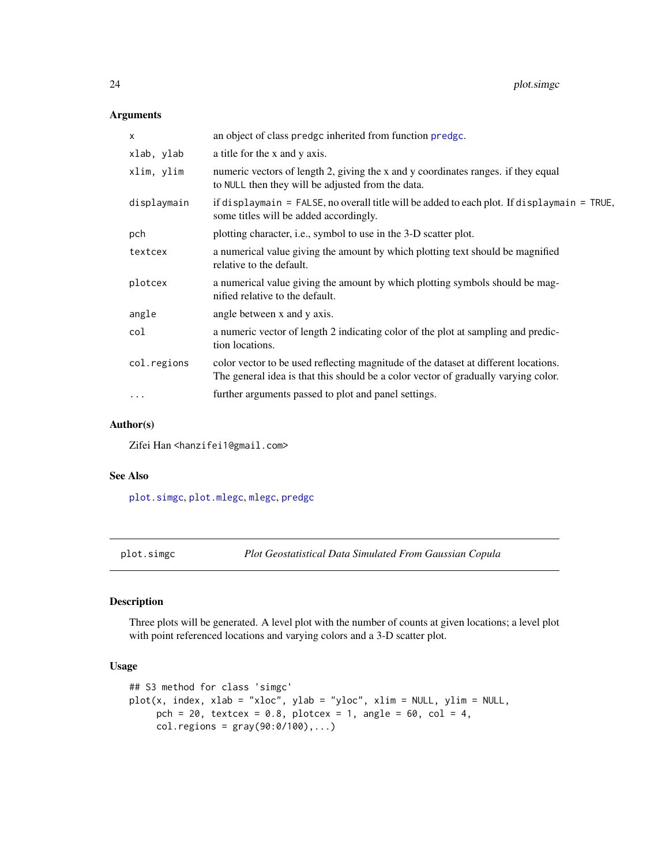# Arguments

| a title for the x and y axis.                                                                                                                                             |
|---------------------------------------------------------------------------------------------------------------------------------------------------------------------------|
|                                                                                                                                                                           |
| numeric vectors of length 2, giving the x and y coordinates ranges. if they equal<br>to NULL then they will be adjusted from the data.                                    |
| if displaymain = FALSE, no overall title will be added to each plot. If displaymain = TRUE,<br>some titles will be added accordingly.                                     |
| plotting character, i.e., symbol to use in the 3-D scatter plot.                                                                                                          |
| a numerical value giving the amount by which plotting text should be magnified<br>relative to the default.                                                                |
| a numerical value giving the amount by which plotting symbols should be mag-<br>nified relative to the default.                                                           |
| angle between x and y axis.                                                                                                                                               |
| a numeric vector of length 2 indicating color of the plot at sampling and predic-<br>tion locations.                                                                      |
| color vector to be used reflecting magnitude of the dataset at different locations.<br>The general idea is that this should be a color vector of gradually varying color. |
| further arguments passed to plot and panel settings.                                                                                                                      |
|                                                                                                                                                                           |

# Author(s)

Zifei Han <hanzifei1@gmail.com>

# See Also

[plot.simgc](#page-23-1), [plot.mlegc](#page-21-1), [mlegc](#page-13-1), [predgc](#page-27-1)

<span id="page-23-1"></span>plot.simgc *Plot Geostatistical Data Simulated From Gaussian Copula*

# Description

Three plots will be generated. A level plot with the number of counts at given locations; a level plot with point referenced locations and varying colors and a 3-D scatter plot.

```
## S3 method for class 'simgc'
plot(x, index, xlab = "xloc", ylab = "yloc", xlim = NULL, ylim = NULL,
     pch = 20, textcex = 0.8, plotcex = 1, angle = 60, col = 4,
     col. regions = gray(90:0/100),...)
```
<span id="page-23-0"></span>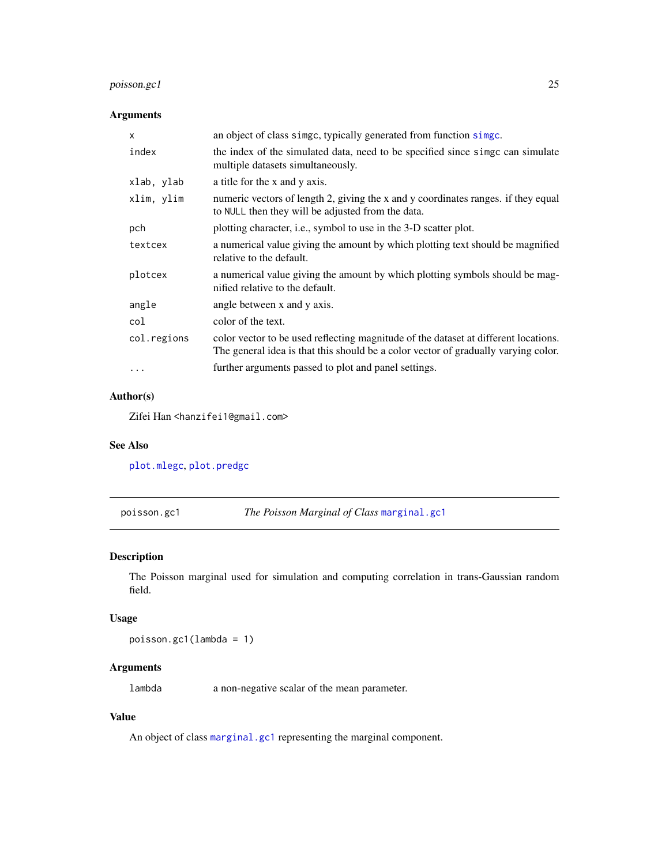# <span id="page-24-0"></span>poisson.gc1 25

# Arguments

| X           | an object of class simge, typically generated from function simge.                                                                                                        |
|-------------|---------------------------------------------------------------------------------------------------------------------------------------------------------------------------|
| index       | the index of the simulated data, need to be specified since simple can simulate<br>multiple datasets simultaneously.                                                      |
| xlab, ylab  | a title for the x and y axis.                                                                                                                                             |
| xlim, ylim  | numeric vectors of length 2, giving the x and y coordinates ranges. if they equal<br>to NULL then they will be adjusted from the data.                                    |
| pch         | plotting character, i.e., symbol to use in the 3-D scatter plot.                                                                                                          |
| textcex     | a numerical value giving the amount by which plotting text should be magnified<br>relative to the default.                                                                |
| plotcex     | a numerical value giving the amount by which plotting symbols should be mag-<br>nified relative to the default.                                                           |
| angle       | angle between x and y axis.                                                                                                                                               |
| col         | color of the text.                                                                                                                                                        |
| col.regions | color vector to be used reflecting magnitude of the dataset at different locations.<br>The general idea is that this should be a color vector of gradually varying color. |
| .           | further arguments passed to plot and panel settings.                                                                                                                      |

# Author(s)

Zifei Han <hanzifei1@gmail.com>

# See Also

[plot.mlegc](#page-21-1), [plot.predgc](#page-22-1)

<span id="page-24-1"></span>poisson.gc1 *The Poisson Marginal of Class* [marginal.gc1](#page-10-1)

# Description

The Poisson marginal used for simulation and computing correlation in trans-Gaussian random field.

# Usage

poisson.gc1(lambda = 1)

# Arguments

lambda a non-negative scalar of the mean parameter.

# Value

An object of class [marginal.gc1](#page-10-1) representing the marginal component.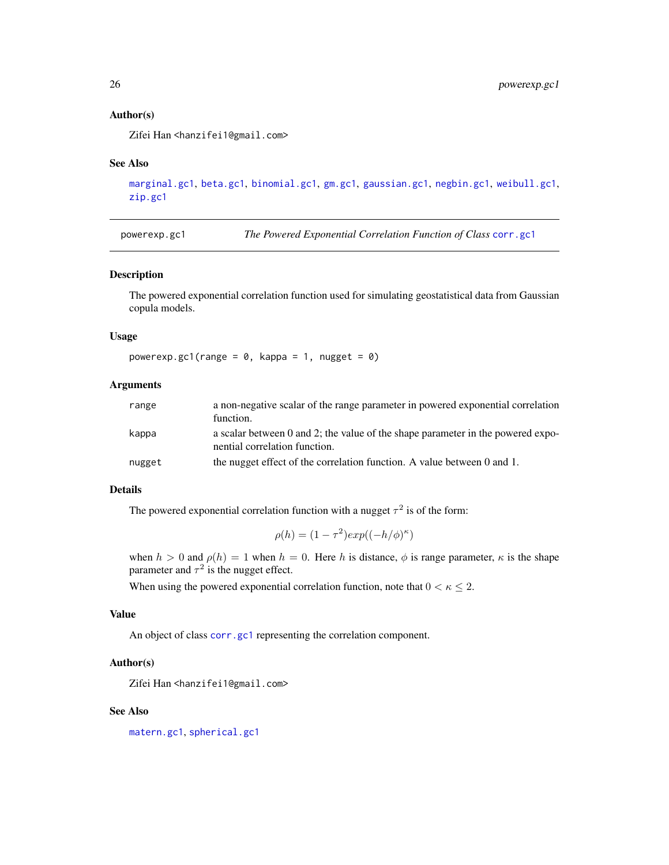#### Author(s)

Zifei Han <hanzifei1@gmail.com>

#### See Also

```
marginal.gc1, beta.gc1, binomial.gc1, gm.gc1, gaussian.gc1, negbin.gc1, weibull.gc1,
zip.gc1
```
<span id="page-25-1"></span>powerexp.gc1 *The Powered Exponential Correlation Function of Class* [corr.gc1](#page-4-2)

#### Description

The powered exponential correlation function used for simulating geostatistical data from Gaussian copula models.

#### Usage

powerexp.gc1(range =  $0$ , kappa = 1, nugget =  $0$ )

# Arguments

| range  | a non-negative scalar of the range parameter in powered exponential correlation<br>function.                     |
|--------|------------------------------------------------------------------------------------------------------------------|
| kappa  | a scalar between 0 and 2; the value of the shape parameter in the powered expo-<br>nential correlation function. |
| nugget | the nugget effect of the correlation function. A value between 0 and 1.                                          |

#### Details

The powered exponential correlation function with a nugget  $\tau^2$  is of the form:

$$
\rho(h) = (1 - \tau^2) exp((-h/\phi)^{\kappa})
$$

when  $h > 0$  and  $\rho(h) = 1$  when  $h = 0$ . Here h is distance,  $\phi$  is range parameter,  $\kappa$  is the shape parameter and  $\tau^2$  is the nugget effect.

When using the powered exponential correlation function, note that  $0 < \kappa \leq 2$ .

### Value

An object of class [corr.gc1](#page-4-2) representing the correlation component.

#### Author(s)

Zifei Han <hanzifei1@gmail.com>

#### See Also

[matern.gc1](#page-11-1), [spherical.gc1](#page-33-1)

<span id="page-25-0"></span>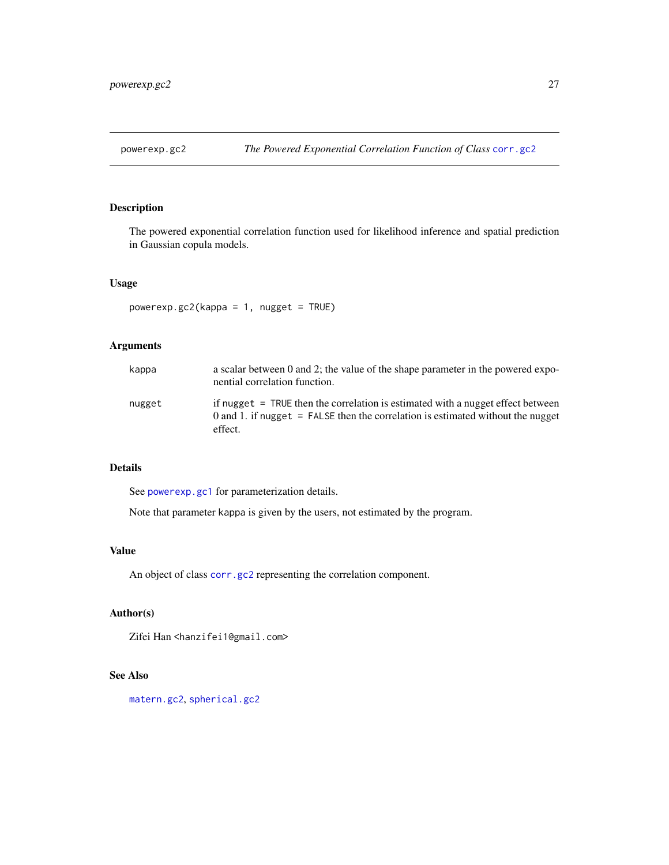<span id="page-26-1"></span><span id="page-26-0"></span>

# Description

The powered exponential correlation function used for likelihood inference and spatial prediction in Gaussian copula models.

# Usage

powerexp.gc2(kappa = 1, nugget = TRUE)

# Arguments

| kappa  | a scalar between 0 and 2; the value of the shape parameter in the powered expo-<br>nential correlation function.                                                                |
|--------|---------------------------------------------------------------------------------------------------------------------------------------------------------------------------------|
| nugget | if nugget = TRUE then the correlation is estimated with a nugget effect between<br>0 and 1. if nugget $=$ FALSE then the correlation is estimated without the nugget<br>effect. |

# Details

See [powerexp.gc1](#page-25-1) for parameterization details.

Note that parameter kappa is given by the users, not estimated by the program.

#### Value

An object of class [corr.gc2](#page-4-1) representing the correlation component.

# Author(s)

Zifei Han <hanzifei1@gmail.com>

# See Also

[matern.gc2](#page-12-1), [spherical.gc2](#page-34-1)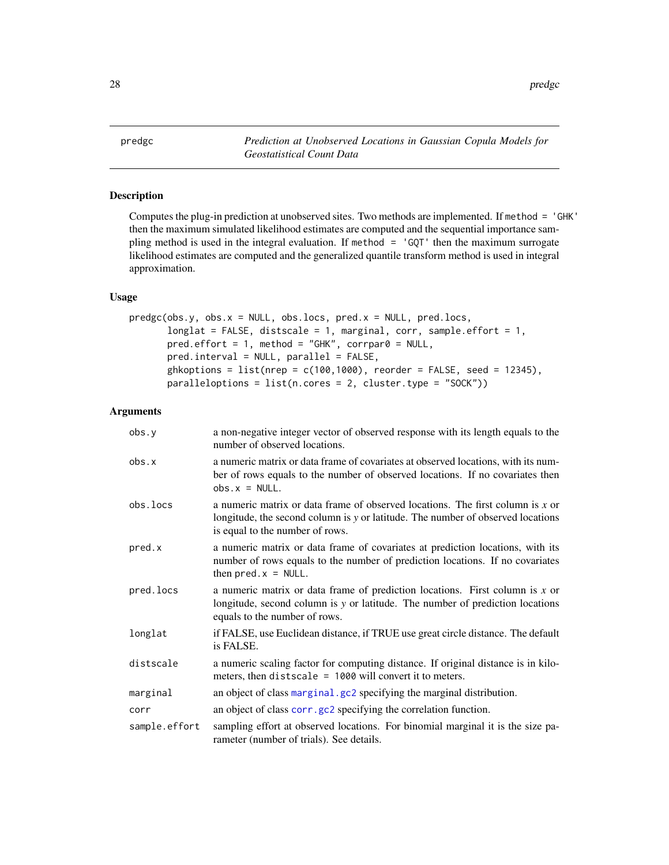<span id="page-27-1"></span><span id="page-27-0"></span>predgc *Prediction at Unobserved Locations in Gaussian Copula Models for Geostatistical Count Data*

# Description

Computes the plug-in prediction at unobserved sites. Two methods are implemented. If method = 'GHK' then the maximum simulated likelihood estimates are computed and the sequential importance sampling method is used in the integral evaluation. If method = 'GQT' then the maximum surrogate likelihood estimates are computed and the generalized quantile transform method is used in integral approximation.

#### Usage

```
predgc(obs.y, obs.x = NULL, obs.locs, pred.x = NULL, pred.locs,longlat = FALSE, distscale = 1, marginal, corr, sample.effort = 1,
       pred.effort = 1, method = "GHK", corrpar@ = NULL,
       pred.interval = NULL, parallel = FALSE,
       ghkoptions = list(nrep = c(100, 1000)), reorder = FALSE, seed = 12345),
       paralleloparalleloptions = list(n.cores = 2, cluster.type = "SOCK"))
```
#### Arguments

| obs.y         | a non-negative integer vector of observed response with its length equals to the<br>number of observed locations.                                                                                    |
|---------------|------------------------------------------------------------------------------------------------------------------------------------------------------------------------------------------------------|
| obs.x         | a numeric matrix or data frame of covariates at observed locations, with its num-<br>ber of rows equals to the number of observed locations. If no covariates then<br>$obs.x = NULL.$                |
| obs.locs      | a numeric matrix or data frame of observed locations. The first column is x or<br>longitude, the second column is y or latitude. The number of observed locations<br>is equal to the number of rows. |
| pred.x        | a numeric matrix or data frame of covariates at prediction locations, with its<br>number of rows equals to the number of prediction locations. If no covariates<br>then $pred.x = NULL$ .            |
| pred.locs     | a numeric matrix or data frame of prediction locations. First column is $x$ or<br>longitude, second column is y or latitude. The number of prediction locations<br>equals to the number of rows.     |
| longlat       | if FALSE, use Euclidean distance, if TRUE use great circle distance. The default<br>is FALSE.                                                                                                        |
| distscale     | a numeric scaling factor for computing distance. If original distance is in kilo-<br>meters, then distscale = $1000$ will convert it to meters.                                                      |
| marginal      | an object of class marginal.gc2 specifying the marginal distribution.                                                                                                                                |
| corr          | an object of class corr.gc2 specifying the correlation function.                                                                                                                                     |
| sample.effort | sampling effort at observed locations. For binomial marginal it is the size pa-<br>rameter (number of trials). See details.                                                                          |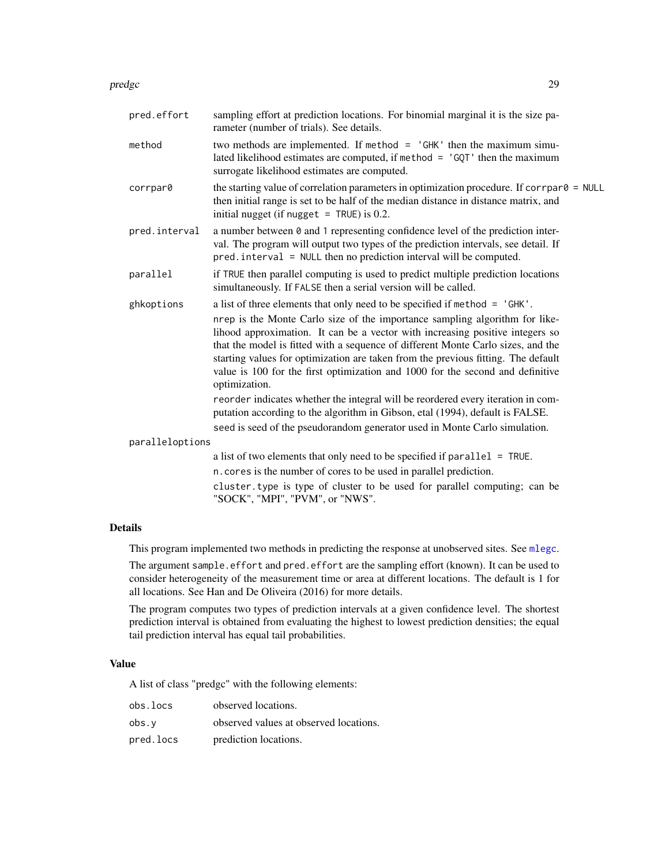#### <span id="page-28-0"></span>predgc 29

| pred.effort     | sampling effort at prediction locations. For binomial marginal it is the size pa-<br>rameter (number of trials). See details.                                                                                                                                                                                                                                                                                                                                                                                                                                                                                                                                                                                                                                             |
|-----------------|---------------------------------------------------------------------------------------------------------------------------------------------------------------------------------------------------------------------------------------------------------------------------------------------------------------------------------------------------------------------------------------------------------------------------------------------------------------------------------------------------------------------------------------------------------------------------------------------------------------------------------------------------------------------------------------------------------------------------------------------------------------------------|
| method          | two methods are implemented. If method $=$ 'GHK' then the maximum simu-<br>lated likelihood estimates are computed, if method $=$ 'GQT' then the maximum<br>surrogate likelihood estimates are computed.                                                                                                                                                                                                                                                                                                                                                                                                                                                                                                                                                                  |
| corrpar0        | the starting value of correlation parameters in optimization procedure. If correlated $=$ NULL<br>then initial range is set to be half of the median distance in distance matrix, and<br>initial nugget (if nugget $=$ TRUE) is 0.2.                                                                                                                                                                                                                                                                                                                                                                                                                                                                                                                                      |
| pred.interval   | a number between $\theta$ and 1 representing confidence level of the prediction inter-<br>val. The program will output two types of the prediction intervals, see detail. If<br>pred. interval = NULL then no prediction interval will be computed.                                                                                                                                                                                                                                                                                                                                                                                                                                                                                                                       |
| parallel        | if TRUE then parallel computing is used to predict multiple prediction locations<br>simultaneously. If FALSE then a serial version will be called.                                                                                                                                                                                                                                                                                                                                                                                                                                                                                                                                                                                                                        |
| ghkoptions      | a list of three elements that only need to be specified if method = 'GHK'.<br>nrep is the Monte Carlo size of the importance sampling algorithm for like-<br>lihood approximation. It can be a vector with increasing positive integers so<br>that the model is fitted with a sequence of different Monte Carlo sizes, and the<br>starting values for optimization are taken from the previous fitting. The default<br>value is 100 for the first optimization and 1000 for the second and definitive<br>optimization.<br>reorder indicates whether the integral will be reordered every iteration in com-<br>putation according to the algorithm in Gibson, etal (1994), default is FALSE.<br>seed is seed of the pseudorandom generator used in Monte Carlo simulation. |
| paralleloptions |                                                                                                                                                                                                                                                                                                                                                                                                                                                                                                                                                                                                                                                                                                                                                                           |
|                 | a list of two elements that only need to be specified if $parallel = TRUE$ .                                                                                                                                                                                                                                                                                                                                                                                                                                                                                                                                                                                                                                                                                              |
|                 | n. cores is the number of cores to be used in parallel prediction.                                                                                                                                                                                                                                                                                                                                                                                                                                                                                                                                                                                                                                                                                                        |
|                 | cluster type is type of cluster to be used for parallel computing; can be<br>"SOCK", "MPI", "PVM", or "NWS".                                                                                                                                                                                                                                                                                                                                                                                                                                                                                                                                                                                                                                                              |

# Details

This program implemented two methods in predicting the response at unobserved sites. See [mlegc](#page-13-1).

The argument sample.effort and pred.effort are the sampling effort (known). It can be used to consider heterogeneity of the measurement time or area at different locations. The default is 1 for all locations. See Han and De Oliveira (2016) for more details.

The program computes two types of prediction intervals at a given confidence level. The shortest prediction interval is obtained from evaluating the highest to lowest prediction densities; the equal tail prediction interval has equal tail probabilities.

# Value

A list of class "predgc" with the following elements:

| obs.locs  | observed locations.                    |
|-----------|----------------------------------------|
| obs.v     | observed values at observed locations. |
| pred.locs | prediction locations.                  |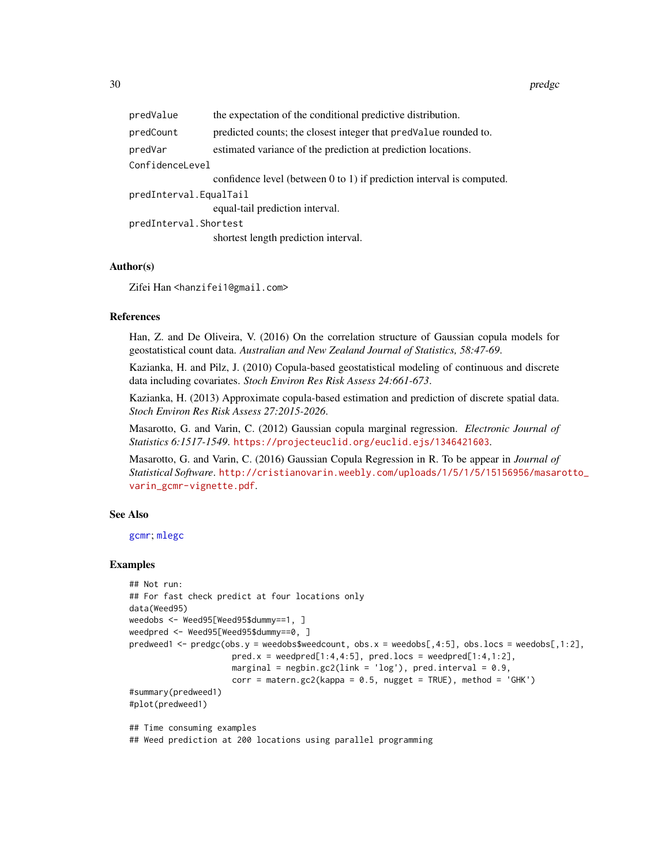<span id="page-29-0"></span>

| predValue              | the expectation of the conditional predictive distribution.                |  |
|------------------------|----------------------------------------------------------------------------|--|
| predCount              | predicted counts; the closest integer that predvalue rounded to.           |  |
| predVar                | estimated variance of the prediction at prediction locations.              |  |
| ConfidenceLevel        |                                                                            |  |
|                        | confidence level (between $0$ to $1$ ) if prediction interval is computed. |  |
| predInterval.EqualTail |                                                                            |  |
|                        | equal-tail prediction interval.                                            |  |
| predInterval.Shortest  |                                                                            |  |
|                        | shortest length prediction interval.                                       |  |
|                        |                                                                            |  |

#### Author(s)

Zifei Han <hanzifei1@gmail.com>

### References

Han, Z. and De Oliveira, V. (2016) On the correlation structure of Gaussian copula models for geostatistical count data. *Australian and New Zealand Journal of Statistics, 58:47-69*.

Kazianka, H. and Pilz, J. (2010) Copula-based geostatistical modeling of continuous and discrete data including covariates. *Stoch Environ Res Risk Assess 24:661-673*.

Kazianka, H. (2013) Approximate copula-based estimation and prediction of discrete spatial data. *Stoch Environ Res Risk Assess 27:2015-2026*.

Masarotto, G. and Varin, C. (2012) Gaussian copula marginal regression. *Electronic Journal of Statistics 6:1517-1549*. <https://projecteuclid.org/euclid.ejs/1346421603>.

Masarotto, G. and Varin, C. (2016) Gaussian Copula Regression in R. To be appear in *Journal of Statistical Software*. [http://cristianovarin.weebly.com/uploads/1/5/1/5/15156956/masar](http://cristianovarin.weebly.com/uploads/1/5/1/5/15156956/masarotto_varin_gcmr-vignette.pdf)otto\_ [varin\\_gcmr-vignette.pdf](http://cristianovarin.weebly.com/uploads/1/5/1/5/15156956/masarotto_varin_gcmr-vignette.pdf).

#### See Also

[gcmr](#page-0-0); [mlegc](#page-13-1)

#### Examples

```
## Not run:
## For fast check predict at four locations only
data(Weed95)
weedobs <- Weed95[Weed95$dummy==1, ]
weedpred <- Weed95[Weed95$dummy==0, ]
predweed1 <- predgc(obs.y = weedobs$weedcount, obs.x = weedobs[,4:5], obs.locs = weedobs[,1:2],
                    pred.x = weed[1:4,4:5], pred.locs = weed[1:4,1:2],marginal = negbin.gc2(link = 'log'), pred.interval = 0.9,
                     corr = matern.gc2(kappa = 0.5, nugget = TRUE), method = 'GHK')#summary(predweed1)
#plot(predweed1)
## Time consuming examples
```
## Weed prediction at 200 locations using parallel programming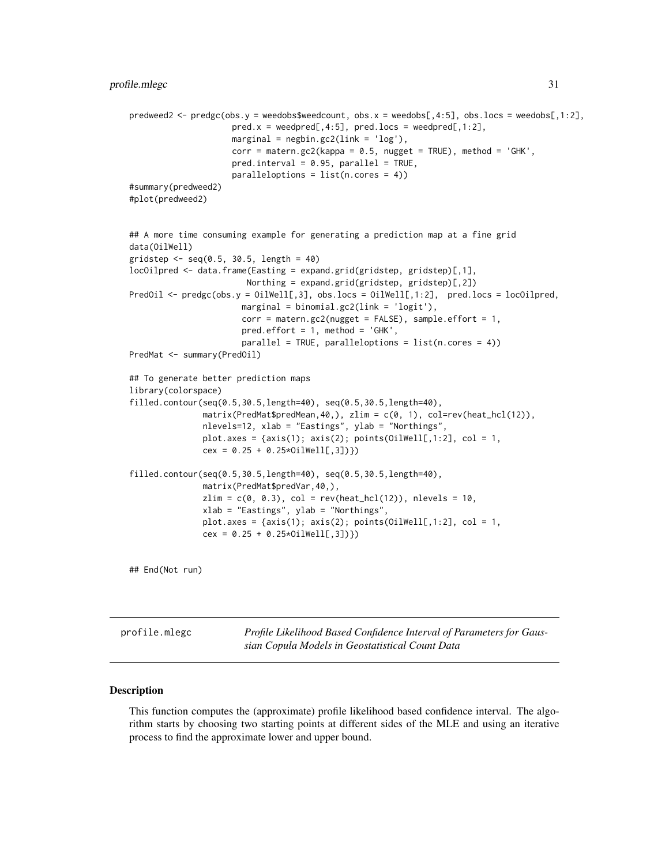```
predweed2 <- predgc(obs.y = weedobs$weedcount, obs.x = weedobs[,4:5], obs.locs = weedobs[,1:2],
                     pred.x = weedpred[, 4:5], pred.locs = weedpred[, 1:2],marginal = negbin.gc2(link = 'log'),
                     corr = \text{matern.gc2}(kappa = 0.5, nugget = TRUE), method = 'GHK',
                     pred.interval = 0.95, parallel = TRUE,paralleloptions = list(n.cores = 4))
#summary(predweed2)
#plot(predweed2)
## A more time consuming example for generating a prediction map at a fine grid
data(OilWell)
gridstep < -seq(0.5, 30.5, length = 40)locOilpred <- data.frame(Easting = expand.grid(gridstep, gridstep)[,1],
                        Northing = expand.grid(gridstep, gridstep)[,2])
PredOil <- predgc(obs.y = OilWell[,3], obs.locs = OilWell[,1:2], pred.locs = locOilpred,
                       marginal = binomial.gc2(link = 'logit'),
                       corr = matern.gc2(nugget = FALSE), sample.effort = 1,pred.effort = 1, method = 'GHK',parallel = TRUE, paralleloptions = list(n.cores = 4))
PredMat <- summary(PredOil)
## To generate better prediction maps
library(colorspace)
filled.contour(seq(0.5,30.5,length=40), seq(0.5,30.5,length=40),
               matrix(PredMat$predMean,40,), zlim = c(0, 1), col=rev(heat_hcl(12)),
               nlevels=12, xlab = "Eastings", ylab = "Northings",
               plot.axes = \{axis(1); axis(2); points(0i1Well[, 1:2], col = 1,cex = 0.25 + 0.25*OilWell[,3])})
filled.contour(seq(0.5,30.5,length=40), seq(0.5,30.5,length=40),
               matrix(PredMat$predVar,40,),
               zlim = c(0, 0.3), col = rev(head_{nl}(12)), nlevels = 10,xlab = "Eastings", ylab = "Northings",
               plot.axes = \{axis(1); axis(2); points(0i1Well[, 1:2], col = 1,cex = 0.25 + 0.25 * 0i1Well[, 3])
```
## End(Not run)

profile.mlegc *Profile Likelihood Based Confidence Interval of Parameters for Gaussian Copula Models in Geostatistical Count Data*

#### Description

This function computes the (approximate) profile likelihood based confidence interval. The algorithm starts by choosing two starting points at different sides of the MLE and using an iterative process to find the approximate lower and upper bound.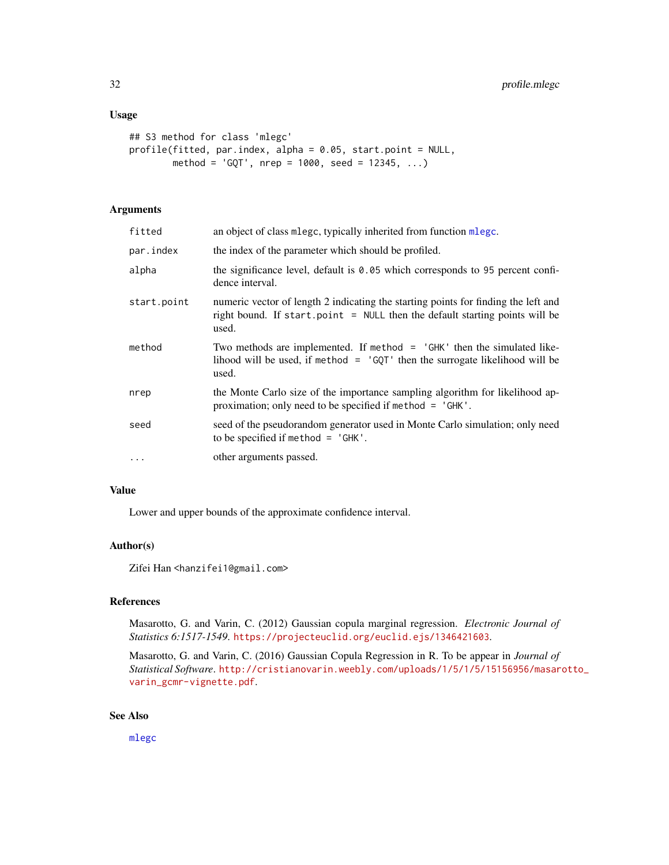# <span id="page-31-0"></span>Usage

```
## S3 method for class 'mlegc'
profile(fitted, par.index, alpha = 0.05, start.point = NULL,
        method = 'GQT', nrep = 1000, seed = 12345, ...)
```
# Arguments

| fitted      | an object of class mlege, typically inherited from function mlege.                                                                                                           |
|-------------|------------------------------------------------------------------------------------------------------------------------------------------------------------------------------|
| par.index   | the index of the parameter which should be profiled.                                                                                                                         |
| alpha       | the significance level, default is $0.05$ which corresponds to 95 percent confi-<br>dence interval.                                                                          |
| start.point | numeric vector of length 2 indicating the starting points for finding the left and<br>right bound. If start point $=$ NULL then the default starting points will be<br>used. |
| method      | Two methods are implemented. If method $=$ 'GHK' then the simulated like-<br>lihood will be used, if method $=$ 'GQT' then the surrogate likelihood will be<br>used.         |
| nrep        | the Monte Carlo size of the importance sampling algorithm for likelihood ap-<br>proximation; only need to be specified if method = 'GHK'.                                    |
| seed        | seed of the pseudorandom generator used in Monte Carlo simulation; only need<br>to be specified if method $=$ 'GHK'.                                                         |
| $\ddots$    | other arguments passed.                                                                                                                                                      |

#### Value

Lower and upper bounds of the approximate confidence interval.

# Author(s)

Zifei Han <hanzifei1@gmail.com>

# References

Masarotto, G. and Varin, C. (2012) Gaussian copula marginal regression. *Electronic Journal of Statistics 6:1517-1549*. <https://projecteuclid.org/euclid.ejs/1346421603>.

Masarotto, G. and Varin, C. (2016) Gaussian Copula Regression in R. To be appear in *Journal of Statistical Software*. [http://cristianovarin.weebly.com/uploads/1/5/1/5/15156956/masar](http://cristianovarin.weebly.com/uploads/1/5/1/5/15156956/masarotto_varin_gcmr-vignette.pdf)otto\_ [varin\\_gcmr-vignette.pdf](http://cristianovarin.weebly.com/uploads/1/5/1/5/15156956/masarotto_varin_gcmr-vignette.pdf).

# See Also

[mlegc](#page-13-1)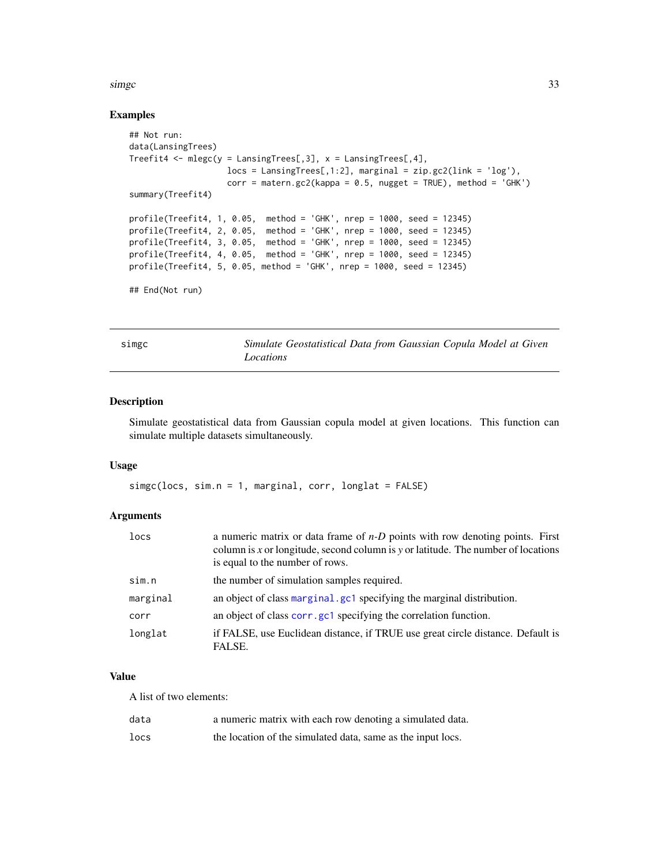#### <span id="page-32-0"></span> $simec$  33

## Examples

```
## Not run:
data(LansingTrees)
Treefit4 \leq mlegc(y = LansingTrees[,3], x = LansingTrees[,4],
                     \text{locs} = \text{LansingTrees[, 1:2}, \text{ marginal} = \text{zip.gc2}(\text{link} = \text{'log'}),corr = mattern.gc2(kappa = 0.5, nugget = TRUE), method = 'GHK')summary(Treefit4)
profile(Treefit4, 1, 0.05, method = 'GHK', nrep = 1000, seed = 12345)
profile(Treefit4, 2, 0.05, method = 'GHK', nrep = 1000, seed = 12345)
profile(Treefit4, 3, 0.05, method = 'GHK', nrep = 1000, seed = 12345)
profile(Treefit4, 4, 0.05, method = 'GHK', nrep = 1000, seed = 12345)
profile(Treefit4, 5, 0.05, method = 'GHK', nrep = 1000, seed = 12345)
## End(Not run)
```
<span id="page-32-1"></span>simgc *Simulate Geostatistical Data from Gaussian Copula Model at Given Locations*

# Description

Simulate geostatistical data from Gaussian copula model at given locations. This function can simulate multiple datasets simultaneously.

#### Usage

simgc(locs, sim.n = 1, marginal, corr, longlat = FALSE)

# Arguments

| locs     | a numeric matrix or data frame of $n-D$ points with row denoting points. First<br>column is x or longitude, second column is y or latitude. The number of locations<br>is equal to the number of rows. |
|----------|--------------------------------------------------------------------------------------------------------------------------------------------------------------------------------------------------------|
| sim.n    | the number of simulation samples required.                                                                                                                                                             |
| marginal | an object of class marginal, gc1 specifying the marginal distribution.                                                                                                                                 |
| corr     | an object of class corr.gc1 specifying the correlation function.                                                                                                                                       |
| longlat  | if FALSE, use Euclidean distance, if TRUE use great circle distance. Default is<br>FALSE.                                                                                                              |

# Value

A list of two elements:

| data | a numeric matrix with each row denoting a simulated data.   |
|------|-------------------------------------------------------------|
| locs | the location of the simulated data, same as the input locs. |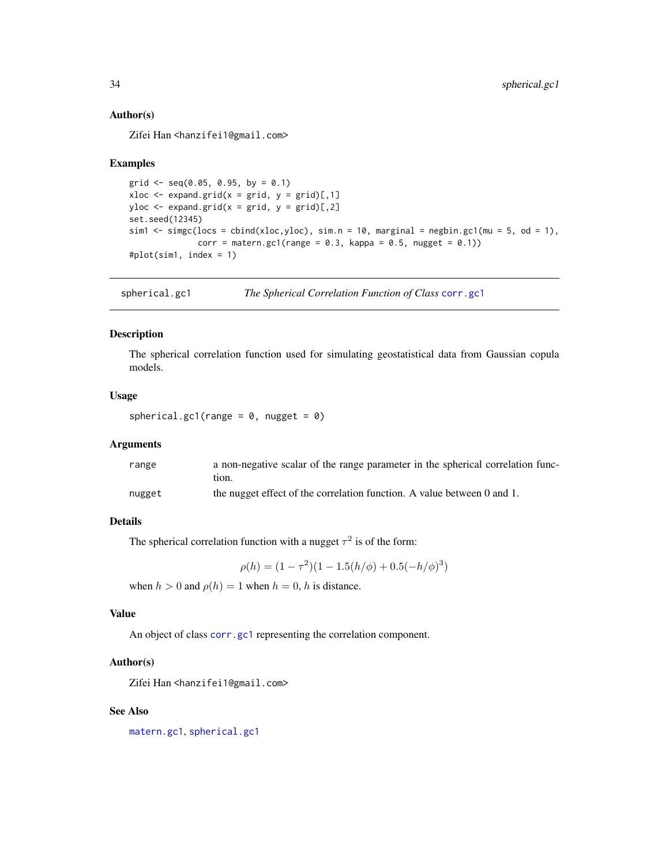# Author(s)

Zifei Han <hanzifei1@gmail.com>

# Examples

```
grid \leq seq(0.05, 0.95, by = 0.1)
xloc \leq expand.grid(x = grid, y = grid)[,1]
yloc \leq expand.grid(x = grid, y = grid)[,2]
set.seed(12345)
sim1 \le simgc(locs = cbind(xloc,yloc), sim.n = 10, marginal = negbin.gc1(mu = 5, od = 1),
              corr = matern.gc1(range = 0.3, kappa = 0.5, nugget = 0.1))
#plot(sim1, index = 1)
```
<span id="page-33-1"></span>spherical.gc1 *The Spherical Correlation Function of Class* [corr.gc1](#page-4-2)

# Description

The spherical correlation function used for simulating geostatistical data from Gaussian copula models.

# Usage

spherical.gc1(range =  $0$ , nugget =  $0$ )

# Arguments

| range  | a non-negative scalar of the range parameter in the spherical correlation func- |
|--------|---------------------------------------------------------------------------------|
|        | tıon.                                                                           |
| nugget | the nugget effect of the correlation function. A value between 0 and 1.         |

# Details

The spherical correlation function with a nugget  $\tau^2$  is of the form:

 $\rho(h) = (1 - \tau^2)(1 - 1.5(h/\phi) + 0.5(-h/\phi)^3)$ 

when  $h > 0$  and  $\rho(h) = 1$  when  $h = 0$ , h is distance.

#### Value

An object of class [corr.gc1](#page-4-2) representing the correlation component.

#### Author(s)

Zifei Han <hanzifei1@gmail.com>

# See Also

[matern.gc1](#page-11-1), [spherical.gc1](#page-33-1)

<span id="page-33-0"></span>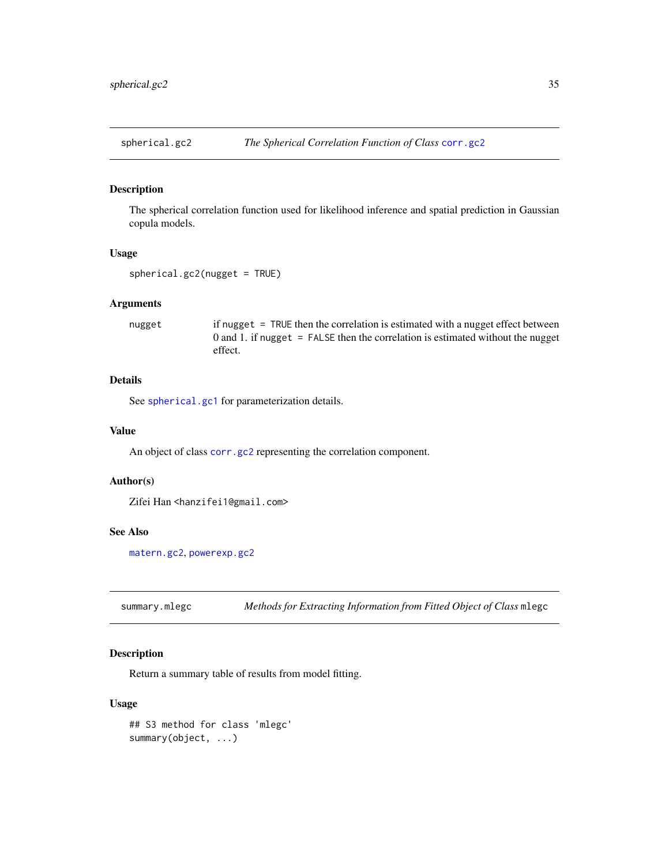<span id="page-34-1"></span><span id="page-34-0"></span>

# Description

The spherical correlation function used for likelihood inference and spatial prediction in Gaussian copula models.

#### Usage

spherical.gc2(nugget = TRUE)

# Arguments

nugget if nugget = TRUE then the correlation is estimated with a nugget effect between 0 and 1. if nugget  $=$  FALSE then the correlation is estimated without the nugget effect.

# Details

See [spherical.gc1](#page-33-1) for parameterization details.

# Value

An object of class [corr.gc2](#page-4-1) representing the correlation component.

# Author(s)

Zifei Han <hanzifei1@gmail.com>

#### See Also

[matern.gc2](#page-12-1), [powerexp.gc2](#page-26-1)

summary.mlegc *Methods for Extracting Information from Fitted Object of Class* mlegc

# Description

Return a summary table of results from model fitting.

```
## S3 method for class 'mlegc'
summary(object, ...)
```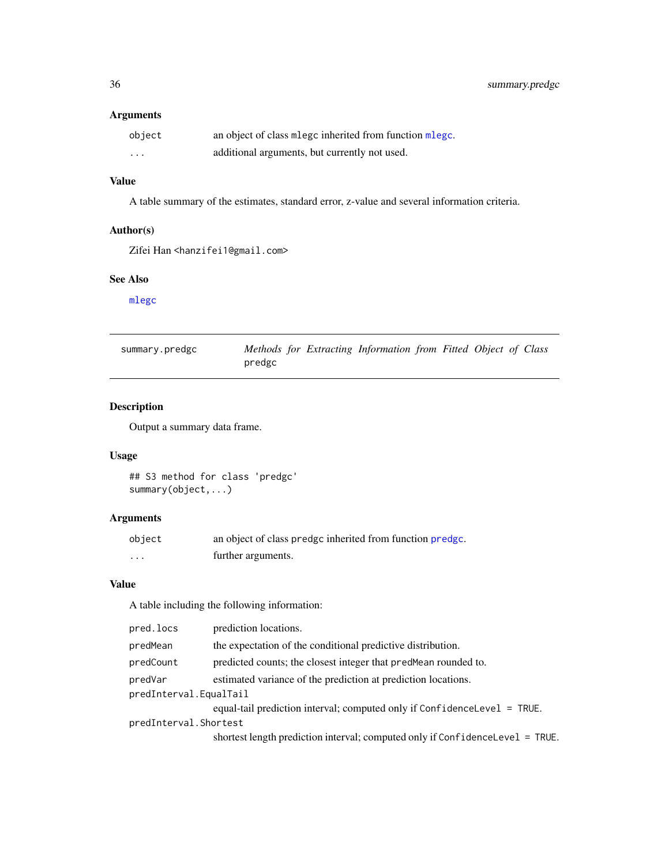# <span id="page-35-0"></span>Arguments

| object   | an object of class mlegc inherited from function mlegc. |
|----------|---------------------------------------------------------|
| $\cdots$ | additional arguments, but currently not used.           |

# Value

A table summary of the estimates, standard error, z-value and several information criteria.

# Author(s)

Zifei Han <hanzifei1@gmail.com>

# See Also

[mlegc](#page-13-1)

| summary.predgc | Methods for Extracting Information from Fitted Object of Class |  |  |  |  |
|----------------|----------------------------------------------------------------|--|--|--|--|
|                | predgc                                                         |  |  |  |  |

# Description

Output a summary data frame.

# Usage

## S3 method for class 'predgc' summary(object,...)

# Arguments

| object            | an object of class predge inherited from function predge. |
|-------------------|-----------------------------------------------------------|
| $\cdot\cdot\cdot$ | further arguments.                                        |

# Value

A table including the following information:

| pred.locs              | prediction locations.                                                         |
|------------------------|-------------------------------------------------------------------------------|
| predMean               | the expectation of the conditional predictive distribution.                   |
| predCount              | predicted counts; the closest integer that pred Mean rounded to.              |
| predVar                | estimated variance of the prediction at prediction locations.                 |
| predInterval.EqualTail |                                                                               |
|                        | equal-tail prediction interval; computed only if ConfidenceLevel = TRUE.      |
| predInterval.Shortest  |                                                                               |
|                        | shortest length prediction interval; computed only if ConfidenceLevel = TRUE. |
|                        |                                                                               |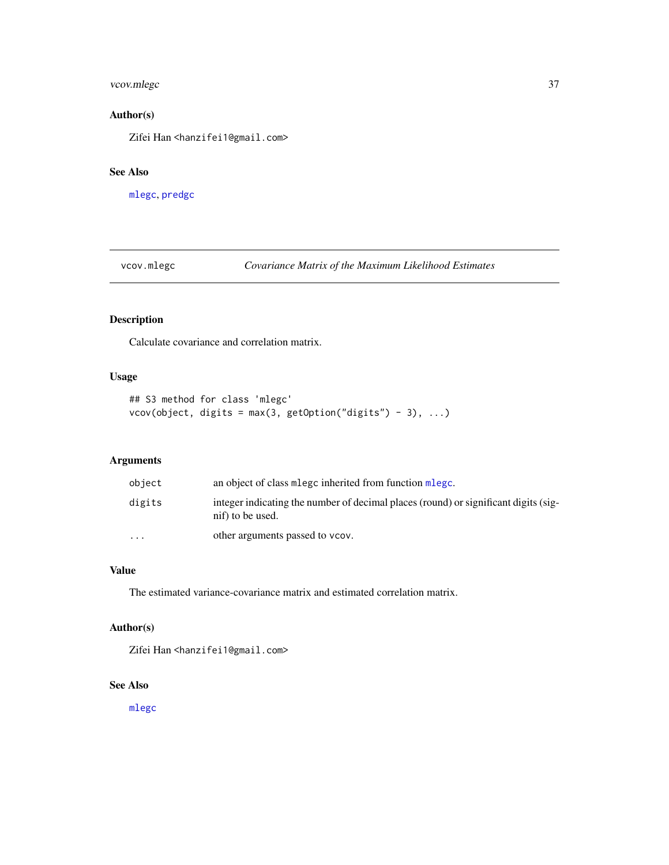# <span id="page-36-0"></span>vcov.mlegc 37

# Author(s)

Zifei Han <hanzifei1@gmail.com>

# See Also

[mlegc](#page-13-1), [predgc](#page-27-1)

vcov.mlegc *Covariance Matrix of the Maximum Likelihood Estimates*

# Description

Calculate covariance and correlation matrix.

# Usage

```
## S3 method for class 'mlegc'
vcov(object, digits = max(3, getOption("digits") - 3), ...)
```
# Arguments

| object               | an object of class mlege inherited from function mlege.                                                 |
|----------------------|---------------------------------------------------------------------------------------------------------|
| digits               | integer indicating the number of decimal places (round) or significant digits (sig-<br>nif) to be used. |
| $\ddot{\phantom{0}}$ | other arguments passed to vcov.                                                                         |

# Value

The estimated variance-covariance matrix and estimated correlation matrix.

# Author(s)

Zifei Han <hanzifei1@gmail.com>

# See Also

[mlegc](#page-13-1)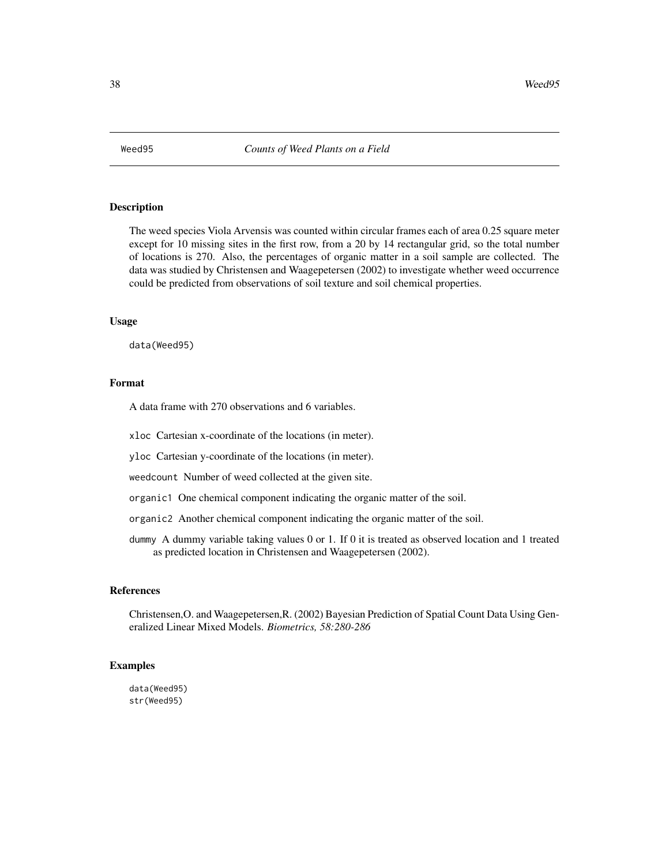<span id="page-37-0"></span>

#### Description

The weed species Viola Arvensis was counted within circular frames each of area 0.25 square meter except for 10 missing sites in the first row, from a 20 by 14 rectangular grid, so the total number of locations is 270. Also, the percentages of organic matter in a soil sample are collected. The data was studied by Christensen and Waagepetersen (2002) to investigate whether weed occurrence could be predicted from observations of soil texture and soil chemical properties.

#### Usage

data(Weed95)

#### Format

A data frame with 270 observations and 6 variables.

xloc Cartesian x-coordinate of the locations (in meter).

yloc Cartesian y-coordinate of the locations (in meter).

weedcount Number of weed collected at the given site.

organic1 One chemical component indicating the organic matter of the soil.

organic2 Another chemical component indicating the organic matter of the soil.

dummy A dummy variable taking values 0 or 1. If 0 it is treated as observed location and 1 treated as predicted location in Christensen and Waagepetersen (2002).

#### References

Christensen,O. and Waagepetersen,R. (2002) Bayesian Prediction of Spatial Count Data Using Generalized Linear Mixed Models. *Biometrics, 58:280-286*

# Examples

data(Weed95) str(Weed95)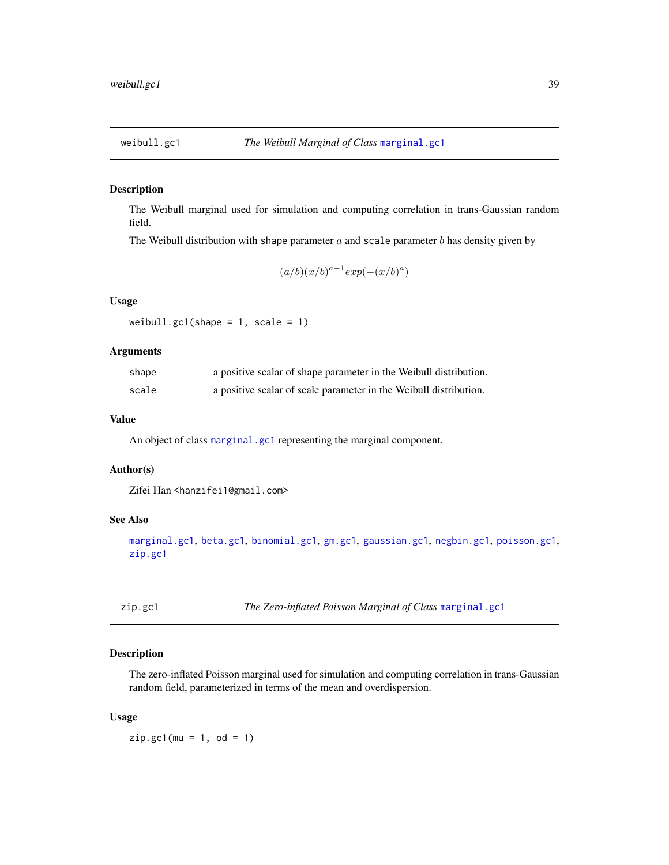<span id="page-38-1"></span><span id="page-38-0"></span>

## Description

The Weibull marginal used for simulation and computing correlation in trans-Gaussian random field.

The Weibull distribution with shape parameter  $a$  and scale parameter  $b$  has density given by

$$
(a/b)(x/b)^{a-1} exp(-(x/b)^a)
$$

# Usage

```
weibull.gc1(shape = 1, scale = 1)
```
# Arguments

| shape | a positive scalar of shape parameter in the Weibull distribution. |
|-------|-------------------------------------------------------------------|
| scale | a positive scalar of scale parameter in the Weibull distribution. |

# Value

An object of class [marginal.gc1](#page-10-1) representing the marginal component.

# Author(s)

Zifei Han <hanzifei1@gmail.com>

# See Also

[marginal.gc1](#page-10-1), [beta.gc1](#page-2-1), [binomial.gc1](#page-3-1), [gm.gc1](#page-8-1), [gaussian.gc1](#page-8-2), [negbin.gc1](#page-19-1), [poisson.gc1](#page-24-1), [zip.gc1](#page-38-2)

<span id="page-38-2"></span>zip.gc1 *The Zero-inflated Poisson Marginal of Class* [marginal.gc1](#page-10-1)

# Description

The zero-inflated Poisson marginal used for simulation and computing correlation in trans-Gaussian random field, parameterized in terms of the mean and overdispersion.

#### Usage

 $zip.get(mu = 1, od = 1)$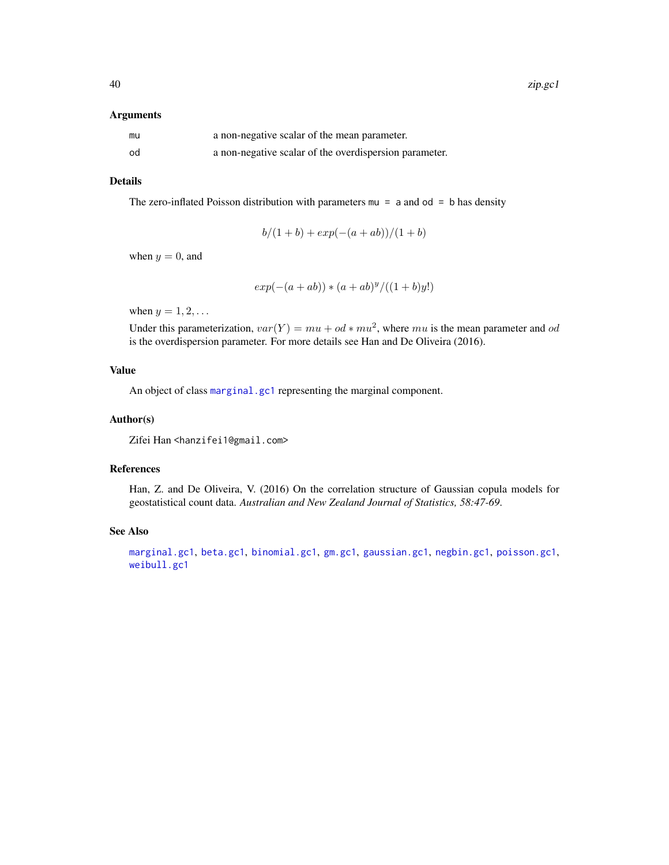#### <span id="page-39-0"></span>Arguments

| mu | a non-negative scalar of the mean parameter.           |
|----|--------------------------------------------------------|
| od | a non-negative scalar of the overdispersion parameter. |

# Details

The zero-inflated Poisson distribution with parameters  $mu = a$  and  $od = b$  has density

$$
b/(1+b) + exp(-(a+ab))/(1+b)
$$

when  $y = 0$ , and

$$
exp(-(a+ab)) * (a+ab)^y/((1+b)y!)
$$

when  $y = 1, 2, \ldots$ 

Under this parameterization,  $var(Y) = mu + od * mu^2$ , where mu is the mean parameter and od is the overdispersion parameter. For more details see Han and De Oliveira (2016).

# Value

An object of class [marginal.gc1](#page-10-1) representing the marginal component.

#### Author(s)

Zifei Han <hanzifei1@gmail.com>

# References

Han, Z. and De Oliveira, V. (2016) On the correlation structure of Gaussian copula models for geostatistical count data. *Australian and New Zealand Journal of Statistics, 58:47-69*.

# See Also

[marginal.gc1](#page-10-1), [beta.gc1](#page-2-1), [binomial.gc1](#page-3-1), [gm.gc1](#page-8-1), [gaussian.gc1](#page-8-2), [negbin.gc1](#page-19-1), [poisson.gc1](#page-24-1), [weibull.gc1](#page-38-1)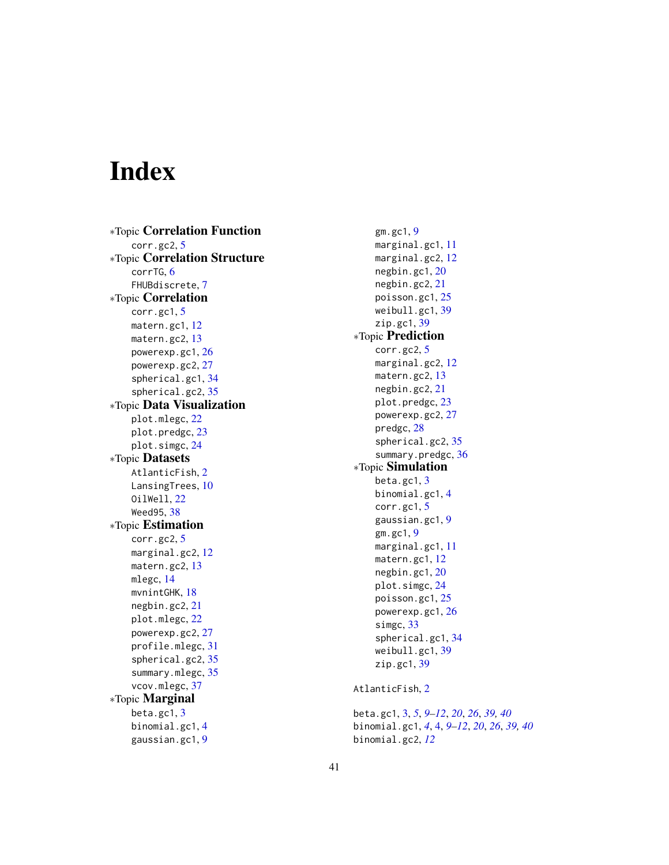# <span id="page-40-0"></span>Index

∗Topic Correlation Function corr.gc2, [5](#page-4-0) ∗Topic Correlation Structure corrTG, [6](#page-5-0) FHUBdiscrete, [7](#page-6-0) ∗Topic Correlation corr.gc1, [5](#page-4-0) matern.gc1, [12](#page-11-0) matern.gc2, [13](#page-12-0) powerexp.gc1, [26](#page-25-0) powerexp.gc2, [27](#page-26-0) spherical.gc1, [34](#page-33-0) spherical.gc2, [35](#page-34-0) ∗Topic Data Visualization plot.mlegc, [22](#page-21-0) plot.predgc, [23](#page-22-0) plot.simgc, [24](#page-23-0) ∗Topic Datasets AtlanticFish, [2](#page-1-0) LansingTrees, [10](#page-9-0) OilWell, [22](#page-21-0) Weed95, [38](#page-37-0) ∗Topic Estimation corr.gc2, [5](#page-4-0) marginal.gc2, [12](#page-11-0) matern.gc2, [13](#page-12-0) mlegc, [14](#page-13-0) mvnintGHK, [18](#page-17-0) negbin.gc2, [21](#page-20-0) plot.mlegc, [22](#page-21-0) powerexp.gc2, [27](#page-26-0) profile.mlegc, [31](#page-30-0) spherical.gc2, [35](#page-34-0) summary.mlegc, [35](#page-34-0) vcov.mlegc, [37](#page-36-0) ∗Topic Marginal beta.gc1, [3](#page-2-0) binomial.gc1, [4](#page-3-0) gaussian.gc1, [9](#page-8-0)

gm.gc1, [9](#page-8-0) marginal.gc1, [11](#page-10-0) marginal.gc2, [12](#page-11-0) negbin.gc1, [20](#page-19-0) negbin.gc2, [21](#page-20-0) poisson.gc1, [25](#page-24-0) weibull.gc1, [39](#page-38-0) zip.gc1, [39](#page-38-0) ∗Topic Prediction corr.gc2, [5](#page-4-0) marginal.gc2, [12](#page-11-0) matern.gc2, [13](#page-12-0) negbin.gc2, [21](#page-20-0) plot.predgc, [23](#page-22-0) powerexp.gc2, [27](#page-26-0) predgc, [28](#page-27-0) spherical.gc2, [35](#page-34-0) summary.predgc, [36](#page-35-0) ∗Topic Simulation beta.gc1, [3](#page-2-0) binomial.gc1, [4](#page-3-0) corr.gc1, [5](#page-4-0) gaussian.gc1, [9](#page-8-0) gm.gc1, [9](#page-8-0) marginal.gc1, [11](#page-10-0) matern.gc1, [12](#page-11-0) negbin.gc1, [20](#page-19-0) plot.simgc, [24](#page-23-0) poisson.gc1, [25](#page-24-0) powerexp.gc1, [26](#page-25-0) simgc, [33](#page-32-0) spherical.gc1, [34](#page-33-0) weibull.gc1, [39](#page-38-0) zip.gc1, [39](#page-38-0) AtlanticFish, [2](#page-1-0) beta.gc1, [3,](#page-2-0) *[5](#page-4-0)*, *[9](#page-8-0)[–12](#page-11-0)*, *[20](#page-19-0)*, *[26](#page-25-0)*, *[39,](#page-38-0) [40](#page-39-0)*

binomial.gc1, *[4](#page-3-0)*, [4,](#page-3-0) *[9](#page-8-0)[–12](#page-11-0)*, *[20](#page-19-0)*, *[26](#page-25-0)*, *[39,](#page-38-0) [40](#page-39-0)* binomial.gc2, *[12](#page-11-0)*